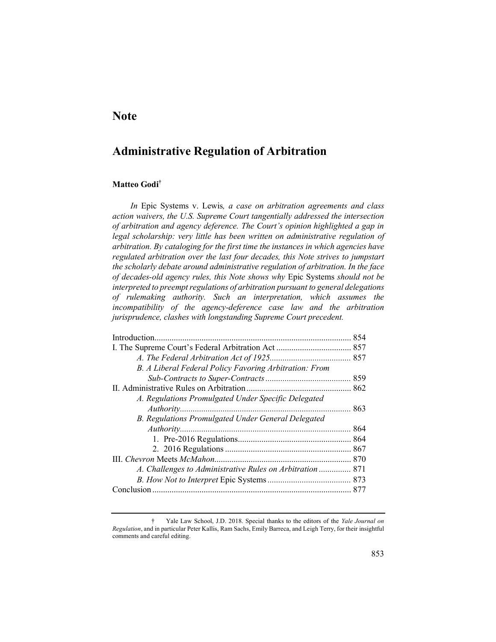## **Note**

# **Administrative Regulation of Arbitration**

## **Matteo Godi†**

*In* Epic Systems v. Lewis*, a case on arbitration agreements and class action waivers, the U.S. Supreme Court tangentially addressed the intersection of arbitration and agency deference. The Court's opinion highlighted a gap in*  legal scholarship: very little has been written on administrative regulation of *arbitration. By cataloging for the first time the instances in which agencies have regulated arbitration over the last four decades, this Note strives to jumpstart the scholarly debate around administrative regulation of arbitration. In the face of decades-old agency rules, this Note shows why* Epic Systems *should not be interpreted to preempt regulations of arbitration pursuant to general delegations of rulemaking authority. Such an interpretation, which assumes the incompatibility of the agency-deference case law and the arbitration jurisprudence, clashes with longstanding Supreme Court precedent.*

| 854                                                       |     |  |
|-----------------------------------------------------------|-----|--|
|                                                           |     |  |
|                                                           |     |  |
| B. A Liberal Federal Policy Favoring Arbitration: From    |     |  |
|                                                           |     |  |
|                                                           |     |  |
| A. Regulations Promulgated Under Specific Delegated       |     |  |
|                                                           | 863 |  |
| B. Regulations Promulgated Under General Delegated        |     |  |
|                                                           |     |  |
|                                                           |     |  |
|                                                           |     |  |
|                                                           |     |  |
| A. Challenges to Administrative Rules on Arbitration  871 |     |  |
|                                                           |     |  |
|                                                           |     |  |

<sup>†</sup> Yale Law School, J.D. 2018. Special thanks to the editors of the *Yale Journal on Regulation*, and in particular Peter Kallis, Ram Sachs, Emily Barreca, and Leigh Terry, for their insightful comments and careful editing.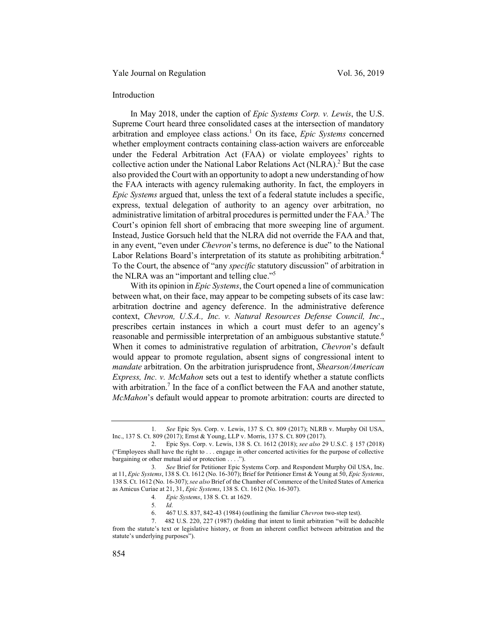#### Yale Journal on Regulation Vol. 36, 2019

#### Introduction

In May 2018, under the caption of *Epic Systems Corp. v. Lewis*, the U.S. Supreme Court heard three consolidated cases at the intersection of mandatory arbitration and employee class actions.<sup>1</sup> On its face, *Epic Systems* concerned whether employment contracts containing class-action waivers are enforceable under the Federal Arbitration Act (FAA) or violate employees' rights to collective action under the National Labor Relations Act (NLRA).<sup>2</sup> But the case also provided the Court with an opportunity to adopt a new understanding of how the FAA interacts with agency rulemaking authority. In fact, the employers in *Epic Systems* argued that, unless the text of a federal statute includes a specific, express, textual delegation of authority to an agency over arbitration, no administrative limitation of arbitral procedures is permitted under the FAA.3 The Court's opinion fell short of embracing that more sweeping line of argument. Instead, Justice Gorsuch held that the NLRA did not override the FAA and that, in any event, "even under *Chevron*'s terms, no deference is due" to the National Labor Relations Board's interpretation of its statute as prohibiting arbitration.<sup>4</sup> To the Court, the absence of "any *specific* statutory discussion" of arbitration in the NLRA was an "important and telling clue."5

With its opinion in *Epic Systems*, the Court opened a line of communication between what, on their face, may appear to be competing subsets of its case law: arbitration doctrine and agency deference. In the administrative deference context, *Chevron, U.S.A., Inc. v. Natural Resources Defense Council, Inc*., prescribes certain instances in which a court must defer to an agency's reasonable and permissible interpretation of an ambiguous substantive statute.<sup>6</sup> When it comes to administrative regulation of arbitration, *Chevron*'s default would appear to promote regulation, absent signs of congressional intent to *mandate* arbitration. On the arbitration jurisprudence front, *Shearson/American Express, Inc. v. McMahon* sets out a test to identify whether a statute conflicts with arbitration.<sup>7</sup> In the face of a conflict between the FAA and another statute, *McMahon*'s default would appear to promote arbitration: courts are directed to

<sup>1</sup>*. See* Epic Sys. Corp. v. Lewis, 137 S. Ct. 809 (2017); NLRB v. Murphy Oil USA, Inc., 137 S. Ct. 809 (2017); Ernst & Young, LLP v. Morris, 137 S. Ct. 809 (2017).

<sup>2.</sup> Epic Sys. Corp. v. Lewis, 138 S. Ct. 1612 (2018); *see also* 29 U.S.C. § 157 (2018) ("Employees shall have the right to . . . engage in other concerted activities for the purpose of collective bargaining or other mutual aid or protection . . . .").

<sup>3</sup>*. See* Brief for Petitioner Epic Systems Corp. and Respondent Murphy Oil USA, Inc. at 11, *Epic Systems*, 138 S. Ct. 1612 (No. 16-307); Brief for Petitioner Ernst & Young at 50, *Epic Systems*, 138 S. Ct. 1612 (No. 16-307); *see also* Brief of the Chamber of Commerce of the United States of America as Amicus Curiae at 21, 31, *Epic Systems*, 138 S. Ct. 1612 (No. 16-307).

<sup>4</sup>*. Epic Systems*, 138 S. Ct. at 1629.

<sup>5</sup>*. Id.*

<sup>6. 467</sup> U.S. 837, 842-43 (1984) (outlining the familiar *Chevron* two-step test).

<sup>7. 482</sup> U.S. 220, 227 (1987) (holding that intent to limit arbitration "will be deducible from the statute's text or legislative history, or from an inherent conflict between arbitration and the statute's underlying purposes").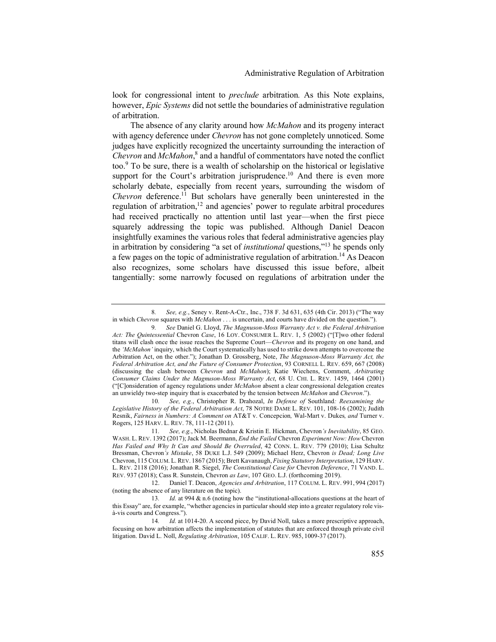look for congressional intent to *preclude* arbitration*.* As this Note explains, however, *Epic Systems* did not settle the boundaries of administrative regulation of arbitration.

The absence of any clarity around how *McMahon* and its progeny interact with agency deference under *Chevron* has not gone completely unnoticed. Some judges have explicitly recognized the uncertainty surrounding the interaction of *Chevron* and *McMahon*, <sup>8</sup> and a handful of commentators have noted the conflict too. <sup>9</sup> To be sure, there is a wealth of scholarship on the historical or legislative support for the Court's arbitration jurisprudence.<sup>10</sup> And there is even more scholarly debate, especially from recent years, surrounding the wisdom of *Chevron* deference.<sup>11</sup> But scholars have generally been uninterested in the regulation of arbitration,<sup>12</sup> and agencies' power to regulate arbitral procedures had received practically no attention until last year—when the first piece squarely addressing the topic was published. Although Daniel Deacon insightfully examines the various roles that federal administrative agencies play in arbitration by considering "a set of *institutional* questions,"<sup>13</sup> he spends only a few pages on the topic of administrative regulation of arbitration.<sup>14</sup> As Deacon also recognizes, some scholars have discussed this issue before, albeit tangentially: some narrowly focused on regulations of arbitration under the

10*. See, e.g.*, Christopher R. Drahozal, *In Defense of* Southland*: Reexamining the Legislative History of the Federal Arbitration Act*, 78 NOTRE DAME L. REV. 101, 108-16 (2002); Judith Resnik, *Fairness in Numbers: A Comment on* AT&T v. Concepcion*,* Wal-Mart v. Dukes*, and* Turner v. Rogers, 125 HARV. L. REV. 78, 111-12 (2011).

<sup>8</sup>*. See, e.g.*, Seney v. Rent-A-Ctr., Inc., 738 F. 3d 631, 635 (4th Cir. 2013) ("The way in which *Chevron* squares with *McMahon* . . . is uncertain, and courts have divided on the question.").

<sup>9</sup>*. See* Daniel G. Lloyd, *The Magnuson-Moss Warranty Act v. the Federal Arbitration Act: The Quintessential* Chevron *Case*, 16 LOY. CONSUMER L. REV. 1, 5 (2002) ("[T]wo other federal titans will clash once the issue reaches the Supreme Court—*Chevron* and its progeny on one hand, and the *'McMahon'* inquiry, which the Court systematically has used to strike down attempts to overcome the Arbitration Act, on the other."); Jonathan D. Grossberg, Note, *The Magnuson-Moss Warranty Act, the Federal Arbitration Act, and the Future of Consumer Protection*, 93 CORNELL L. REV. 659, 667 (2008) (discussing the clash between *Chevron* and *McMahon*); Katie Wiechens, Comment, *Arbitrating Consumer Claims Under the Magnuson-Moss Warranty Act*, 68 U. CHI. L. REV. 1459, 1464 (2001) ("[C]onsideration of agency regulations under *McMahon* absent a clear congressional delegation creates an unwieldy two-step inquiry that is exacerbated by the tension between *McMahon* and *Chevron*.").

<sup>11</sup>*. See, e.g.*, Nicholas Bednar & Kristin E. Hickman, Chevron*'s Inevitability*, 85 GEO. WASH. L. REV. 1392 (2017); Jack M. Beermann, *End the Failed* Chevron *Experiment Now: How* Chevron *Has Failed and Why It Can and Should Be Overruled*, 42 CONN. L. REV. 779 (2010); Lisa Schultz Bressman, Chevron*'s Mistake*, 58 DUKE L.J. 549 (2009); Michael Herz, Chevron *is Dead; Long Live*  Chevron, 115 COLUM. L. REV. 1867 (2015); Brett Kavanaugh, *Fixing Statutory Interpretation*, 129 HARV. L. REV. 2118 (2016); Jonathan R. Siegel, *The Constitutional Case for* Chevron *Deference*, 71 VAND. L. REV. 937 (2018); Cass R. Sunstein, Chevron *as Law*, 107 GEO. L.J. (forthcoming 2019).

<sup>12.</sup> Daniel T. Deacon, *Agencies and Arbitration*, 117 COLUM. L. REV. 991, 994 (2017) (noting the absence of any literature on the topic).

<sup>13</sup>*. Id.* at 994 & n.6 (noting how the "institutional-allocations questions at the heart of this Essay" are, for example, "whether agencies in particular should step into a greater regulatory role visà-vis courts and Congress.").

<sup>14</sup>*. Id.* at 1014-20. A second piece, by David Noll, takes a more prescriptive approach, focusing on how arbitration affects the implementation of statutes that are enforced through private civil litigation. David L. Noll, *Regulating Arbitration*, 105 CALIF. L. REV. 985, 1009-37 (2017).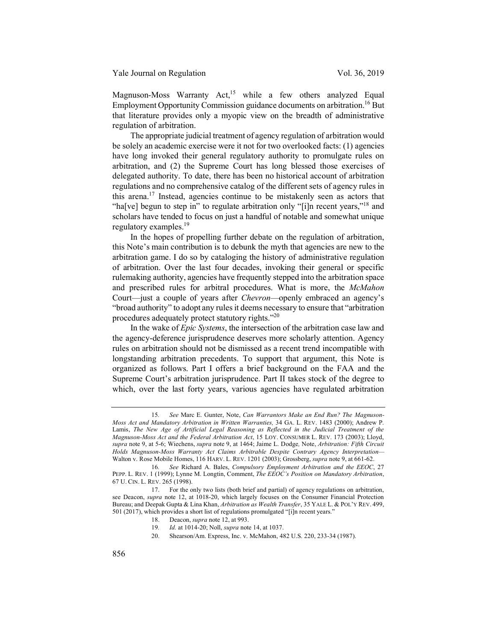Magnuson-Moss Warranty  $Act<sub>1</sub><sup>15</sup>$  while a few others analyzed Equal Employment Opportunity Commission guidance documents on arbitration.<sup>16</sup> But that literature provides only a myopic view on the breadth of administrative regulation of arbitration.

The appropriate judicial treatment of agency regulation of arbitration would be solely an academic exercise were it not for two overlooked facts: (1) agencies have long invoked their general regulatory authority to promulgate rules on arbitration, and (2) the Supreme Court has long blessed those exercises of delegated authority. To date, there has been no historical account of arbitration regulations and no comprehensive catalog of the different sets of agency rules in this arena.17 Instead, agencies continue to be mistakenly seen as actors that "ha[ve] begun to step in" to regulate arbitration only "[i]n recent years,"<sup>18</sup> and scholars have tended to focus on just a handful of notable and somewhat unique regulatory examples.<sup>19</sup>

In the hopes of propelling further debate on the regulation of arbitration, this Note's main contribution is to debunk the myth that agencies are new to the arbitration game. I do so by cataloging the history of administrative regulation of arbitration. Over the last four decades, invoking their general or specific rulemaking authority, agencies have frequently stepped into the arbitration space and prescribed rules for arbitral procedures. What is more, the *McMahon* Court—just a couple of years after *Chevron*—openly embraced an agency's "broad authority" to adopt any rules it deems necessary to ensure that "arbitration procedures adequately protect statutory rights."<sup>20</sup>

In the wake of *Epic Systems*, the intersection of the arbitration case law and the agency-deference jurisprudence deserves more scholarly attention. Agency rules on arbitration should not be dismissed as a recent trend incompatible with longstanding arbitration precedents. To support that argument, this Note is organized as follows. Part I offers a brief background on the FAA and the Supreme Court's arbitration jurisprudence. Part II takes stock of the degree to which, over the last forty years, various agencies have regulated arbitration

20. Shearson/Am. Express, Inc. v. McMahon, 482 U.S. 220, 233-34 (1987).

<sup>15</sup>*. See* Marc E. Gunter, Note, *Can Warrantors Make an End Run? The Magnuson-Moss Act and Mandatory Arbitration in Written Warranties,* 34 GA. L. REV. 1483 (2000); Andrew P. Lamis, *The New Age of Artificial Legal Reasoning as Reflected in the Judicial Treatment of the Magnuson-Moss Act and the Federal Arbitration Act*, 15 LOY. CONSUMER L. REV. 173 (2003); Lloyd, *supra* note 9, at 5-6; Wiechens, *supra* note 9, at 1464; Jaime L. Dodge*,* Note, *Arbitration: Fifth Circuit Holds Magnuson-Moss Warranty Act Claims Arbitrable Despite Contrary Agency Interpretation—* Walton v. Rose Mobile Homes, 116 HARV. L. REV. 1201 (2003); Grossberg, *supra* note 9, at 661-62.

<sup>16</sup>*. See* Richard A. Bales, *Compulsory Employment Arbitration and the EEOC*, 27 PEPP. L. REV. 1 (1999); Lynne M. Longtin, Comment, *The EEOC's Position on Mandatory Arbitration*, 67 U. CIN. L. REV. 265 (1998).

<sup>17.</sup> For the only two lists (both brief and partial) of agency regulations on arbitration, see Deacon, *supra* note 12, at 1018-20, which largely focuses on the Consumer Financial Protection Bureau; and Deepak Gupta & Lina Khan, *Arbitration as Wealth Transfer*, 35 YALE L. & POL'Y REV. 499, 501 (2017), which provides a short list of regulations promulgated "[i]n recent years."

<sup>18.</sup> Deacon, *supra* note 12, at 993.

<sup>19</sup>*. Id.* at 1014-20; Noll, *supra* note 14, at 1037.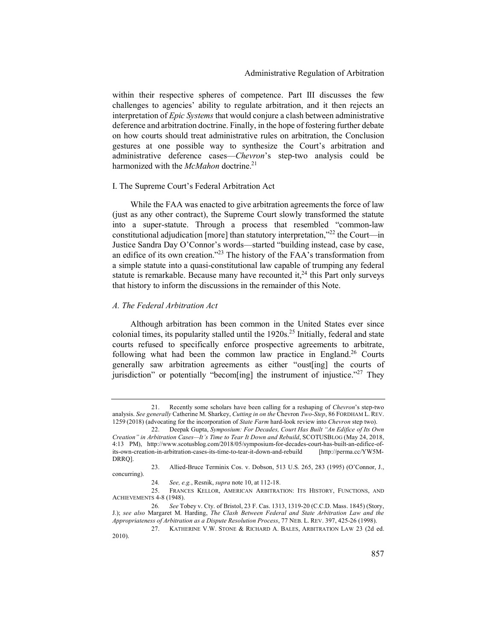within their respective spheres of competence. Part III discusses the few challenges to agencies' ability to regulate arbitration, and it then rejects an interpretation of *Epic Systems* that would conjure a clash between administrative deference and arbitration doctrine. Finally, in the hope of fostering further debate on how courts should treat administrative rules on arbitration, the Conclusion gestures at one possible way to synthesize the Court's arbitration and administrative deference cases—*Chevron*'s step-two analysis could be harmonized with the *McMahon* doctrine.<sup>21</sup>

#### I. The Supreme Court's Federal Arbitration Act

While the FAA was enacted to give arbitration agreements the force of law (just as any other contract), the Supreme Court slowly transformed the statute into a super-statute. Through a process that resembled "common-law constitutional adjudication [more] than statutory interpretation,"<sup>22</sup> the Court—in Justice Sandra Day O'Connor's words—started "building instead, case by case, an edifice of its own creation."23 The history of the FAA's transformation from a simple statute into a quasi-constitutional law capable of trumping any federal statute is remarkable. Because many have recounted it,<sup>24</sup> this Part only surveys that history to inform the discussions in the remainder of this Note.

#### *A. The Federal Arbitration Act*

Although arbitration has been common in the United States ever since colonial times, its popularity stalled until the  $1920s<sup>25</sup>$  Initially, federal and state courts refused to specifically enforce prospective agreements to arbitrate, following what had been the common law practice in England.<sup>26</sup> Courts generally saw arbitration agreements as either "oust[ing] the courts of jurisdiction" or potentially "becom[ing] the instrument of injustice."<sup>27</sup> They

<sup>21.</sup> Recently some scholars have been calling for a reshaping of *Chevron*'s step-two analysis. *See generally* Catherine M. Sharkey, *Cutting in on the* Chevron *Two-Step*, 86 FORDHAM L. REV. 1259 (2018) (advocating for the incorporation of *State Farm* hard-look review into *Chevron* step two).

<sup>22.</sup> Deepak Gupta, *Symposium: For Decades, Court Has Built "An Edifice of Its Own Creation" in Arbitration Cases—It's Time to Tear It Down and Rebuild*, SCOTUSBLOG (May 24, 2018, 4:13 PM), http://www.scotusblog.com/2018/05/symposium-for-decades-court-has-built-an-edifice-ofits-own-creation-in-arbitration-cases-its-time-to-tear-it-down-and-rebuild [http://perma.cc/YW5M-DRRQ].

<sup>23.</sup> Allied-Bruce Terminix Cos. v. Dobson, 513 U.S. 265, 283 (1995) (O'Connor, J., concurring).

<sup>24</sup>*. See, e.g.*, Resnik, *supra* note 10, at 112-18.

<sup>25.</sup> FRANCES KELLOR, AMERICAN ARBITRATION: ITS HISTORY, FUNCTIONS, AND ACHIEVEMENTS 4-8 (1948).

<sup>26</sup>*. See* Tobey v. Cty. of Bristol, 23 F. Cas. 1313, 1319-20 (C.C.D. Mass. 1845) (Story, J.); *see also* Margaret M. Harding, *The Clash Between Federal and State Arbitration Law and the Appropriateness of Arbitration as a Dispute Resolution Process*, 77 NEB. L. REV. 397, 425-26 (1998).

<sup>27.</sup> KATHERINE V.W. STONE & RICHARD A. BALES, ARBITRATION LAW 23 (2d ed. 2010).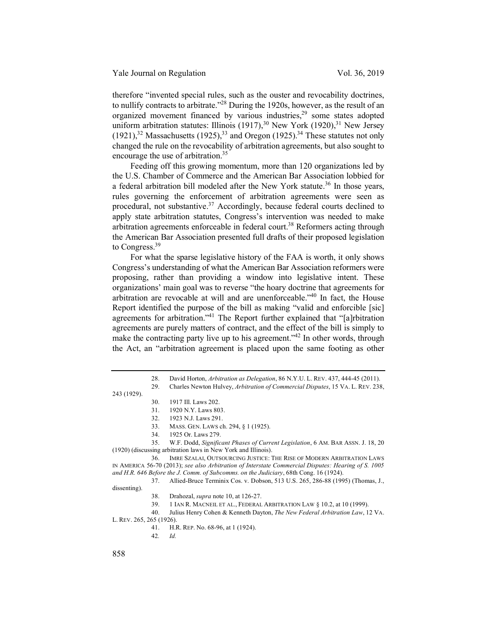therefore "invented special rules, such as the ouster and revocability doctrines, to nullify contracts to arbitrate.<sup>228</sup> During the 1920s, however, as the result of an organized movement financed by various industries, $2<sup>9</sup>$  some states adopted uniform arbitration statutes: Illinois  $(1917)$ ,<sup>30</sup> New York  $(1920)$ ,<sup>31</sup> New Jersey  $(1921)$ ,<sup>32</sup> Massachusetts  $(1925)$ ,<sup>33</sup> and Oregon  $(1925)$ .<sup>34</sup> These statutes not only changed the rule on the revocability of arbitration agreements, but also sought to encourage the use of arbitration.<sup>35</sup>

Feeding off this growing momentum, more than 120 organizations led by the U.S. Chamber of Commerce and the American Bar Association lobbied for a federal arbitration bill modeled after the New York statute.<sup>36</sup> In those vears, rules governing the enforcement of arbitration agreements were seen as procedural, not substantive.<sup>37</sup> Accordingly, because federal courts declined to apply state arbitration statutes, Congress's intervention was needed to make arbitration agreements enforceable in federal court.<sup>38</sup> Reformers acting through the American Bar Association presented full drafts of their proposed legislation to Congress.<sup>39</sup>

For what the sparse legislative history of the FAA is worth, it only shows Congress's understanding of what the American Bar Association reformers were proposing, rather than providing a window into legislative intent. These organizations' main goal was to reverse "the hoary doctrine that agreements for arbitration are revocable at will and are unenforceable."40 In fact, the House Report identified the purpose of the bill as making "valid and enforcible [sic] agreements for arbitration."41 The Report further explained that "[a]rbitration agreements are purely matters of contract, and the effect of the bill is simply to make the contracting party live up to his agreement."<sup>42</sup> In other words, through the Act, an "arbitration agreement is placed upon the same footing as other

35. W.F. Dodd, *Significant Phases of Current Legislation*, 6 AM. BAR ASSN. J. 18, 20 (1920) (discussing arbitration laws in New York and Illinois).

36. IMRE SZALAI, OUTSOURCING JUSTICE: THE RISE OF MODERN ARBITRATION LAWS IN AMERICA 56-70 (2013); *see also Arbitration of Interstate Commercial Disputes: Hearing of S. 1005 and H.R. 646 Before the J. Comm. of Subcomms. on the Judiciary*, 68th Cong. 16 (1924).

37. Allied-Bruce Terminix Cos. v. Dobson, 513 U.S. 265, 286-88 (1995) (Thomas, J., dissenting).

38. Drahozal, *supra* note 10, at 126-27.

39. 1 IAN R. MACNEIL ET AL., FEDERAL ARBITRATION LAW § 10.2, at 10 (1999).

40. Julius Henry Cohen & Kenneth Dayton, *The New Federal Arbitration Law*, 12 VA. L. REV. 265, 265 (1926).

- 41. H.R. REP. No. 68-96, at 1 (1924).
- 42*. Id.*

<sup>28.</sup> David Horton, *Arbitration as Delegation*, 86 N.Y.U. L. REV. 437, 444-45 (2011). 29. Charles Newton Hulvey, *Arbitration of Commercial Disputes*, 15 VA. L. REV. 238,

<sup>243 (1929).</sup>

<sup>30. 1917</sup> Ill. Laws 202.

<sup>31. 1920</sup> N.Y. Laws 803.

<sup>32. 1923</sup> N.J. Laws 291.

<sup>33.</sup> MASS. GEN. LAWS ch. 294, § 1 (1925).

<sup>34. 1925</sup> Or. Laws 279.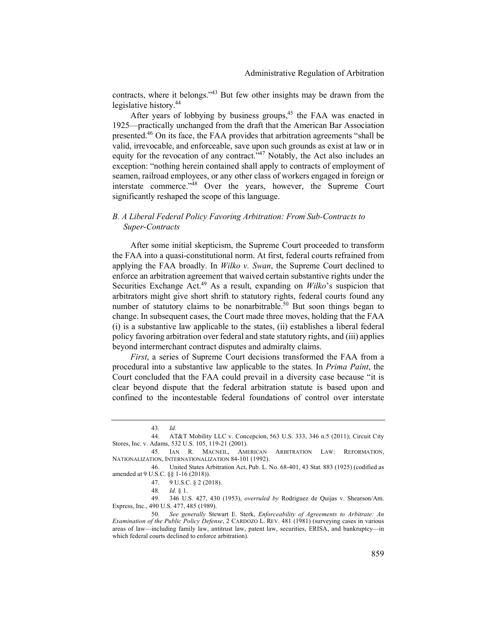contracts, where it belongs."43 But few other insights may be drawn from the legislative history.44

After years of lobbying by business groups,  $45$  the FAA was enacted in 1925—practically unchanged from the draft that the American Bar Association presented.<sup>46</sup> On its face, the FAA provides that arbitration agreements "shall be valid, irrevocable, and enforceable, save upon such grounds as exist at law or in equity for the revocation of any contract.<sup> $347$ </sup> Notably, the Act also includes an exception: "nothing herein contained shall apply to contracts of employment of seamen, railroad employees, or any other class of workers engaged in foreign or interstate commerce."48 Over the years, however, the Supreme Court significantly reshaped the scope of this language.

## *B. A Liberal Federal Policy Favoring Arbitration: From Sub-Contracts to Super-Contracts*

After some initial skepticism, the Supreme Court proceeded to transform the FAA into a quasi-constitutional norm. At first, federal courts refrained from applying the FAA broadly. In *Wilko v. Swan*, the Supreme Court declined to enforce an arbitration agreement that waived certain substantive rights under the Securities Exchange Act.<sup>49</sup> As a result, expanding on *Wilko*'s suspicion that arbitrators might give short shrift to statutory rights, federal courts found any number of statutory claims to be nonarbitrable.<sup>50</sup> But soon things began to change. In subsequent cases, the Court made three moves, holding that the FAA (i) is a substantive law applicable to the states, (ii) establishes a liberal federal policy favoring arbitration over federal and state statutory rights, and (iii) applies beyond intermerchant contract disputes and admiralty claims.

*First*, a series of Supreme Court decisions transformed the FAA from a procedural into a substantive law applicable to the states. In *Prima Paint*, the Court concluded that the FAA could prevail in a diversity case because "it is clear beyond dispute that the federal arbitration statute is based upon and confined to the incontestable federal foundations of control over interstate

<sup>43</sup>*. Id.*

<sup>44.</sup> AT&T Mobility LLC v. Concepcion, 563 U.S. 333, 346 n.5 (2011); Circuit City Stores, Inc. v. Adams, 532 U.S. 105, 119-21 (2001).

<sup>45.</sup> IAN R. MACNEIL, AMERICAN ARBITRATION LAW: REFORMATION, NATIONALIZATION, INTERNATIONALIZATION 84-101 (1992).

<sup>46.</sup> United States Arbitration Act, Pub. L. No. 68-401, 43 Stat. 883 (1925) (codified as amended at 9 U.S.C. §§ 1-16 (2018)).

<sup>47. 9</sup> U.S.C. § 2 (2018).

<sup>48</sup>*. Id.* § 1.

<sup>49. 346</sup> U.S. 427, 430 (1953), *overruled by* Rodriguez de Quijas v. Shearson/Am. Express, Inc., 490 U.S. 477, 485 (1989).

<sup>50</sup>*. See generally* Stewart E. Sterk, *Enforceability of Agreements to Arbitrate: An Examination of the Public Policy Defense*, 2 CARDOZO L. REV. 481 (1981) (surveying cases in various areas of law—including family law, antitrust law, patent law, securities, ERISA, and bankruptcy—in which federal courts declined to enforce arbitration).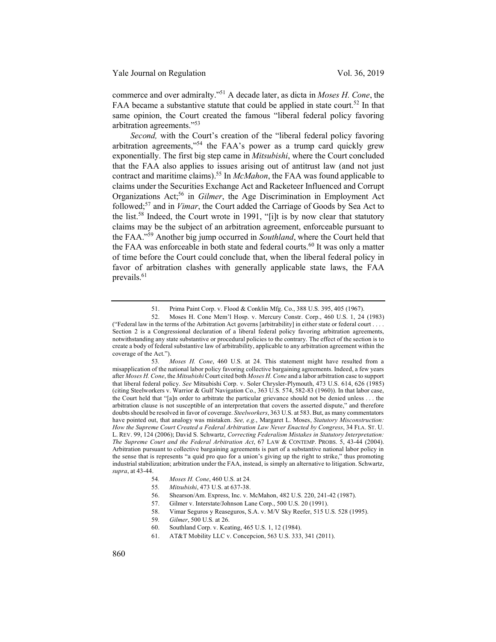commerce and over admiralty."51 A decade later, as dicta in *Moses H. Cone*, the FAA became a substantive statute that could be applied in state court.<sup>52</sup> In that same opinion, the Court created the famous "liberal federal policy favoring arbitration agreements."53

*Second,* with the Court's creation of the "liberal federal policy favoring arbitration agreements,"54 the FAA's power as a trump card quickly grew exponentially. The first big step came in *Mitsubishi*, where the Court concluded that the FAA also applies to issues arising out of antitrust law (and not just contract and maritime claims).55 In *McMahon*, the FAA was found applicable to claims under the Securities Exchange Act and Racketeer Influenced and Corrupt Organizations Act; <sup>56</sup> in *Gilmer*, the Age Discrimination in Employment Act followed;57 and in *Vimar*, the Court added the Carriage of Goods by Sea Act to the list.<sup>58</sup> Indeed, the Court wrote in 1991, "[i]t is by now clear that statutory claims may be the subject of an arbitration agreement, enforceable pursuant to the FAA."59 Another big jump occurred in *Southland*, where the Court held that the FAA was enforceable in both state and federal courts.<sup>60</sup> It was only a matter of time before the Court could conclude that, when the liberal federal policy in favor of arbitration clashes with generally applicable state laws, the FAA prevails.<sup>61</sup>

<sup>51.</sup> Prima Paint Corp. v. Flood & Conklin Mfg. Co., 388 U.S. 395, 405 (1967).

<sup>52.</sup> Moses H. Cone Mem'l Hosp. v. Mercury Constr. Corp., 460 U.S. 1, 24 (1983) ("Federal law in the terms of the Arbitration Act governs [arbitrability] in either state or federal court . . . . Section 2 is a Congressional declaration of a liberal federal policy favoring arbitration agreements, notwithstanding any state substantive or procedural policies to the contrary. The effect of the section is to create a body of federal substantive law of arbitrability, applicable to any arbitration agreement within the coverage of the Act.").

<sup>53</sup>*. Moses H. Cone*, 460 U.S. at 24. This statement might have resulted from a misapplication of the national labor policy favoring collective bargaining agreements. Indeed, a few years after *Moses H. Cone*, the *Mitsubishi* Court cited both *Moses H. Cone* and a labor arbitration case to support that liberal federal policy. *See* Mitsubishi Corp. v. Soler Chrysler-Plymouth, 473 U.S. 614, 626 (1985) (citing Steelworkers v. Warrior & Gulf Navigation Co., 363 U.S. 574, 582-83 (1960)). In that labor case, the Court held that "[a]n order to arbitrate the particular grievance should not be denied unless . . . the arbitration clause is not susceptible of an interpretation that covers the asserted dispute," and therefore doubts should be resolved in favor of coverage. *Steelworkers*, 363 U.S. at 583. But, as many commentators have pointed out, that analogy was mistaken. *See, e.g.*, Margaret L. Moses, *Statutory Misconstruction: How the Supreme Court Created a Federal Arbitration Law Never Enacted by Congress*, 34 FLA. ST. U. L. REV. 99, 124 (2006); David S. Schwartz, *Correcting Federalism Mistakes in Statutory Interpretation: The Supreme Court and the Federal Arbitration Act*, 67 LAW & CONTEMP. PROBS. 5, 43-44 (2004). Arbitration pursuant to collective bargaining agreements is part of a substantive national labor policy in the sense that is represents "a quid pro quo for a union's giving up the right to strike," thus promoting industrial stabilization; arbitration under the FAA, instead, is simply an alternative to litigation. Schwartz, *supra*, at 43-44.

<sup>54</sup>*. Moses H. Cone*, 460 U.S. at 24*.*

<sup>55</sup>*. Mitsubishi*, 473 U.S. at 637-38.

<sup>56.</sup> Shearson/Am. Express, Inc. v. McMahon, 482 U.S. 220, 241-42 (1987).

<sup>57.</sup> Gilmer v. Interstate/Johnson Lane Corp., 500 U.S. 20 (1991).

<sup>58.</sup> Vimar Seguros y Reaseguros, S.A. v. M/V Sky Reefer, 515 U.S. 528 (1995).

<sup>59</sup>*. Gilmer*, 500 U.S. at 26.

<sup>60.</sup> Southland Corp. v. Keating, 465 U.S. 1, 12 (1984).

<sup>61.</sup> AT&T Mobility LLC v. Concepcion, 563 U.S. 333, 341 (2011).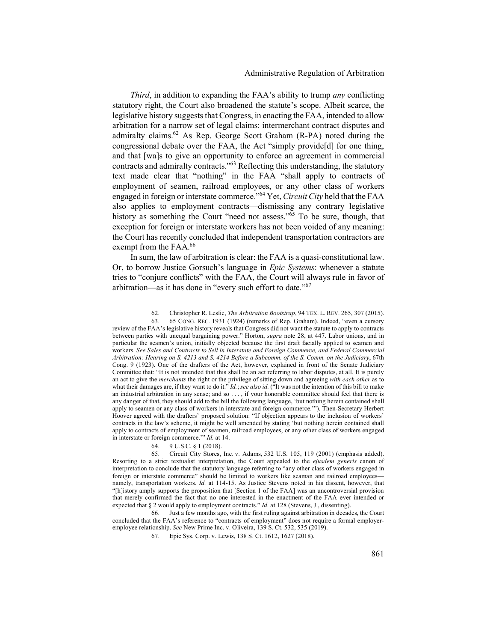*Third*, in addition to expanding the FAA's ability to trump *any* conflicting statutory right, the Court also broadened the statute's scope. Albeit scarce, the legislative history suggests that Congress, in enacting the FAA, intended to allow arbitration for a narrow set of legal claims: intermerchant contract disputes and admiralty claims.62 As Rep. George Scott Graham (R-PA) noted during the congressional debate over the FAA, the Act "simply provide[d] for one thing, and that [wa]s to give an opportunity to enforce an agreement in commercial contracts and admiralty contracts."63 Reflecting this understanding, the statutory text made clear that "nothing" in the FAA "shall apply to contracts of employment of seamen, railroad employees, or any other class of workers engaged in foreign or interstate commerce."64 Yet, *Circuit City* held that the FAA also applies to employment contracts—dismissing any contrary legislative history as something the Court "need not assess."<sup>65</sup> To be sure, though, that exception for foreign or interstate workers has not been voided of any meaning: the Court has recently concluded that independent transportation contractors are exempt from the FAA.<sup>66</sup>

In sum, the law of arbitration is clear: the FAA is a quasi-constitutional law. Or, to borrow Justice Gorsuch's language in *Epic Systems*: whenever a statute tries to "conjure conflicts" with the FAA, the Court will always rule in favor of arbitration—as it has done in "every such effort to date."67

64. 9 U.S.C. § 1 (2018).

<sup>62.</sup> Christopher R. Leslie, *The Arbitration Bootstrap*, 94 TEX. L. REV. 265, 307 (2015).

<sup>63. 65</sup> CONG. REC. 1931 (1924) (remarks of Rep. Graham). Indeed, "even a cursory review of the FAA's legislative history reveals that Congress did not want the statute to apply to contracts between parties with unequal bargaining power." Horton, *supra* note 28, at 447. Labor unions, and in particular the seamen's union, initially objected because the first draft facially applied to seamen and workers. *See Sales and Contracts to Sell in Interstate and Foreign Commerce, and Federal Commercial Arbitration: Hearing on S. 4213 and S. 4214 Before a Subcomm. of the S. Comm. on the Judiciary*, 67th Cong. 9 (1923). One of the drafters of the Act, however, explained in front of the Senate Judiciary Committee that: "It is not intended that this shall be an act referring to labor disputes, at all. It is purely an act to give the *merchants* the right or the privilege of sitting down and agreeing *with each other* as to what their damages are, if they want to do it." *Id.*; *see also id.* ("It was not the intention of this bill to make an industrial arbitration in any sense; and so . . . , if your honorable committee should feel that there is any danger of that, they should add to the bill the following language, 'but nothing herein contained shall apply to seamen or any class of workers in interstate and foreign commerce.'"). Then-Secretary Herbert Hoover agreed with the drafters' proposed solution: "If objection appears to the inclusion of workers' contracts in the law's scheme, it might be well amended by stating 'but nothing herein contained shall apply to contracts of employment of seamen, railroad employees, or any other class of workers engaged in interstate or foreign commerce.'" *Id.* at 14.

<sup>65.</sup> Circuit City Stores, Inc. v. Adams, 532 U.S. 105, 119 (2001) (emphasis added). Resorting to a strict textualist interpretation, the Court appealed to the *ejusdem generis* canon of interpretation to conclude that the statutory language referring to "any other class of workers engaged in foreign or interstate commerce" should be limited to workers like seaman and railroad employees namely, transportation workers. *Id.* at 114-15. As Justice Stevens noted in his dissent, however, that "[h]istory amply supports the proposition that [Section 1 of the FAA] was an uncontroversial provision that merely confirmed the fact that no one interested in the enactment of the FAA ever intended or expected that § 2 would apply to employment contracts." *Id.* at 128 (Stevens, J., dissenting).

<sup>66.</sup> Just a few months ago, with the first ruling against arbitration in decades, the Court concluded that the FAA's reference to "contracts of employment" does not require a formal employeremployee relationship. *See* New Prime Inc. v. Oliveira, 139 S. Ct. 532, 535 (2019).

<sup>67.</sup> Epic Sys. Corp. v. Lewis, 138 S. Ct. 1612, 1627 (2018).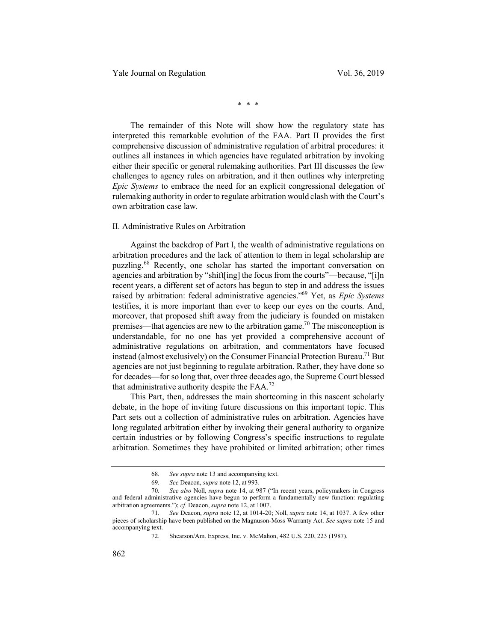\* \* \*

The remainder of this Note will show how the regulatory state has interpreted this remarkable evolution of the FAA. Part II provides the first comprehensive discussion of administrative regulation of arbitral procedures: it outlines all instances in which agencies have regulated arbitration by invoking either their specific or general rulemaking authorities. Part III discusses the few challenges to agency rules on arbitration, and it then outlines why interpreting *Epic Systems* to embrace the need for an explicit congressional delegation of rulemaking authority in order to regulate arbitration would clash with the Court's own arbitration case law*.*

#### II. Administrative Rules on Arbitration

Against the backdrop of Part I, the wealth of administrative regulations on arbitration procedures and the lack of attention to them in legal scholarship are puzzling.<sup>68</sup> Recently, one scholar has started the important conversation on agencies and arbitration by "shift[ing] the focus from the courts"—because, "[i]n recent years, a different set of actors has begun to step in and address the issues raised by arbitration: federal administrative agencies."69 Yet, as *Epic Systems*  testifies, it is more important than ever to keep our eyes on the courts. And, moreover, that proposed shift away from the judiciary is founded on mistaken premises—that agencies are new to the arbitration game.<sup>70</sup> The misconception is understandable, for no one has yet provided a comprehensive account of administrative regulations on arbitration, and commentators have focused instead (almost exclusively) on the Consumer Financial Protection Bureau.<sup>71</sup> But agencies are not just beginning to regulate arbitration. Rather, they have done so for decades—for so long that, over three decades ago, the Supreme Court blessed that administrative authority despite the FAA.72

This Part, then, addresses the main shortcoming in this nascent scholarly debate, in the hope of inviting future discussions on this important topic. This Part sets out a collection of administrative rules on arbitration. Agencies have long regulated arbitration either by invoking their general authority to organize certain industries or by following Congress's specific instructions to regulate arbitration. Sometimes they have prohibited or limited arbitration; other times

<sup>68</sup>*. See supra* note 13 and accompanying text.

<sup>69</sup>*. See* Deacon, *supra* note 12, at 993.

<sup>70</sup>*. See also* Noll, *supra* note 14, at 987 ("In recent years, policymakers in Congress and federal administrative agencies have begun to perform a fundamentally new function: regulating arbitration agreements."); *cf.* Deacon, *supra* note 12, at 1007.

<sup>71</sup>*. See* Deacon, *supra* note 12, at 1014-20; Noll, *supra* note 14, at 1037. A few other pieces of scholarship have been published on the Magnuson-Moss Warranty Act. *See supra* note 15 and accompanying text.

<sup>72.</sup> Shearson/Am. Express, Inc. v. McMahon, 482 U.S. 220, 223 (1987).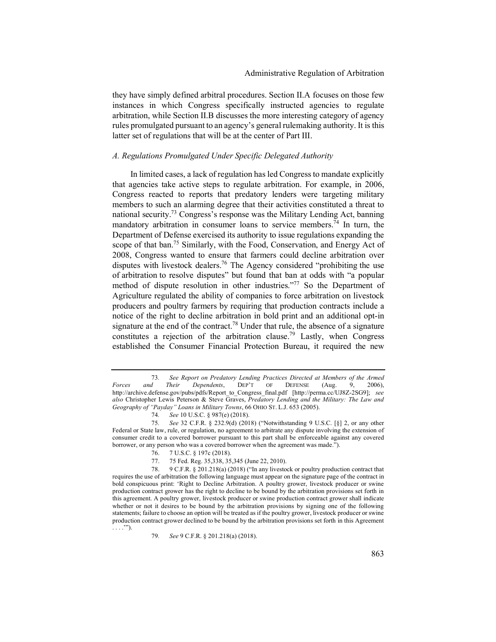they have simply defined arbitral procedures. Section II.A focuses on those few instances in which Congress specifically instructed agencies to regulate arbitration, while Section II.B discusses the more interesting category of agency rules promulgated pursuant to an agency's general rulemaking authority. It is this latter set of regulations that will be at the center of Part III.

## *A. Regulations Promulgated Under Specific Delegated Authority*

In limited cases, a lack of regulation has led Congress to mandate explicitly that agencies take active steps to regulate arbitration. For example, in 2006, Congress reacted to reports that predatory lenders were targeting military members to such an alarming degree that their activities constituted a threat to national security.73 Congress's response was the Military Lending Act, banning mandatory arbitration in consumer loans to service members.<sup> $74$ </sup> In turn, the Department of Defense exercised its authority to issue regulations expanding the scope of that ban.<sup>75</sup> Similarly, with the Food, Conservation, and Energy Act of 2008, Congress wanted to ensure that farmers could decline arbitration over disputes with livestock dealers.<sup>76</sup> The Agency considered "prohibiting the use of arbitration to resolve disputes" but found that ban at odds with "a popular method of dispute resolution in other industries."<sup>77</sup> So the Department of Agriculture regulated the ability of companies to force arbitration on livestock producers and poultry farmers by requiring that production contracts include a notice of the right to decline arbitration in bold print and an additional opt-in signature at the end of the contract.<sup>78</sup> Under that rule, the absence of a signature constitutes a rejection of the arbitration clause.<sup>79</sup> Lastly, when Congress established the Consumer Financial Protection Bureau, it required the new

74*. See* 10 U.S.C. § 987(e) (2018).

77. 75 Fed. Reg. 35,338, 35,345 (June 22, 2010).

<sup>73</sup>*. See Report on Predatory Lending Practices Directed at Members of the Armed Forces and Their Dependents*, DEP'T OF DEFENSE (Aug. 9, 2006), http://archive.defense.gov/pubs/pdfs/Report\_to\_Congress\_final.pdf [http://perma.cc/UJ8Z-2SG9]; *see also* Christopher Lewis Peterson & Steve Graves, *Predatory Lending and the Military: The Law and Geography of "Payday" Loans in Military Towns*, 66 OHIO ST. L.J. 653 (2005).

<sup>75</sup>*. See* 32 C.F.R. § 232.9(d) (2018) ("Notwithstanding 9 U.S.C. [§] 2, or any other Federal or State law, rule, or regulation, no agreement to arbitrate any dispute involving the extension of consumer credit to a covered borrower pursuant to this part shall be enforceable against any covered borrower, or any person who was a covered borrower when the agreement was made.").

<sup>76. 7</sup> U.S.C. § 197c (2018).

<sup>78. 9</sup> C.F.R. § 201.218(a) (2018) ("In any livestock or poultry production contract that requires the use of arbitration the following language must appear on the signature page of the contract in bold conspicuous print: 'Right to Decline Arbitration. A poultry grower, livestock producer or swine production contract grower has the right to decline to be bound by the arbitration provisions set forth in this agreement. A poultry grower, livestock producer or swine production contract grower shall indicate whether or not it desires to be bound by the arbitration provisions by signing one of the following statements; failure to choose an option will be treated as if the poultry grower, livestock producer or swine production contract grower declined to be bound by the arbitration provisions set forth in this Agreement . . . .'").

<sup>79</sup>*. See* 9 C.F.R. § 201.218(a) (2018).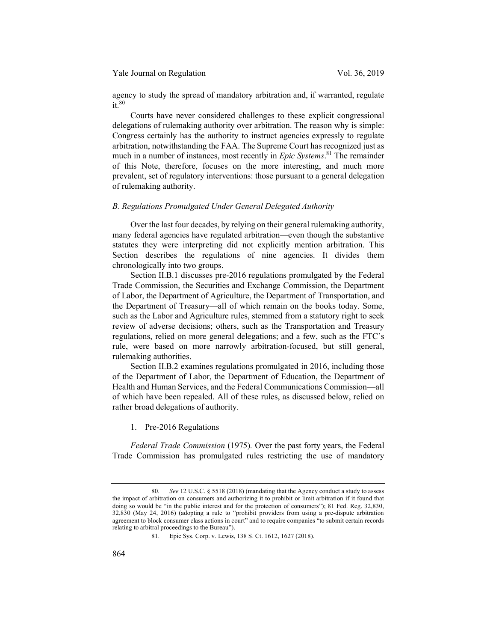Yale Journal on Regulation Vol. 36, 2019

agency to study the spread of mandatory arbitration and, if warranted, regulate  $it^{80}$ 

Courts have never considered challenges to these explicit congressional delegations of rulemaking authority over arbitration. The reason why is simple: Congress certainly has the authority to instruct agencies expressly to regulate arbitration, notwithstanding the FAA. The Supreme Court has recognized just as much in a number of instances, most recently in *Epic Systems*. <sup>81</sup> The remainder of this Note, therefore, focuses on the more interesting, and much more prevalent, set of regulatory interventions: those pursuant to a general delegation of rulemaking authority.

## *B. Regulations Promulgated Under General Delegated Authority*

Over the last four decades, by relying on their general rulemaking authority, many federal agencies have regulated arbitration—even though the substantive statutes they were interpreting did not explicitly mention arbitration. This Section describes the regulations of nine agencies. It divides them chronologically into two groups.

Section II.B.1 discusses pre-2016 regulations promulgated by the Federal Trade Commission, the Securities and Exchange Commission, the Department of Labor, the Department of Agriculture, the Department of Transportation, and the Department of Treasury—all of which remain on the books today. Some, such as the Labor and Agriculture rules, stemmed from a statutory right to seek review of adverse decisions; others, such as the Transportation and Treasury regulations, relied on more general delegations; and a few, such as the FTC's rule, were based on more narrowly arbitration-focused, but still general, rulemaking authorities.

Section II.B.2 examines regulations promulgated in 2016, including those of the Department of Labor, the Department of Education, the Department of Health and Human Services, and the Federal Communications Commission—all of which have been repealed. All of these rules, as discussed below, relied on rather broad delegations of authority.

1. Pre-2016 Regulations

*Federal Trade Commission* (1975)*.* Over the past forty years, the Federal Trade Commission has promulgated rules restricting the use of mandatory

<sup>80</sup>*. See* 12 U.S.C. § 5518 (2018) (mandating that the Agency conduct a study to assess the impact of arbitration on consumers and authorizing it to prohibit or limit arbitration if it found that doing so would be "in the public interest and for the protection of consumers"); 81 Fed. Reg. 32,830, 32,830 (May 24, 2016) (adopting a rule to "prohibit providers from using a pre-dispute arbitration agreement to block consumer class actions in court" and to require companies "to submit certain records relating to arbitral proceedings to the Bureau").

<sup>81.</sup> Epic Sys. Corp. v. Lewis, 138 S. Ct. 1612, 1627 (2018).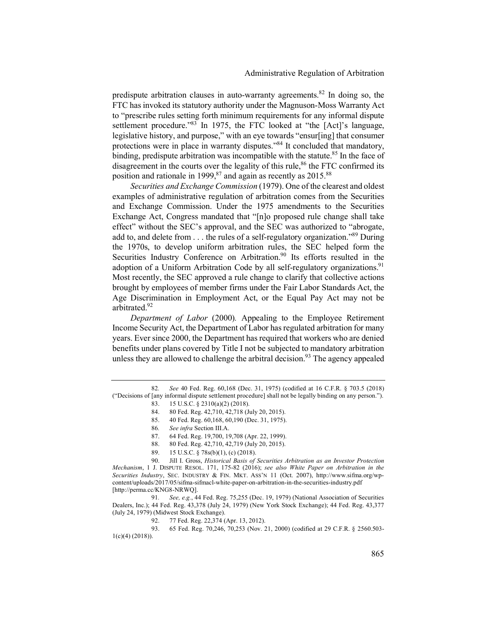predispute arbitration clauses in auto-warranty agreements.<sup>82</sup> In doing so, the FTC has invoked its statutory authority under the Magnuson-Moss Warranty Act to "prescribe rules setting forth minimum requirements for any informal dispute settlement procedure."<sup>83</sup> In 1975, the FTC looked at "the [Act]'s language, legislative history, and purpose," with an eye towards "ensur[ing] that consumer protections were in place in warranty disputes."<sup>84</sup> It concluded that mandatory, binding, predispute arbitration was incompatible with the statute.<sup>85</sup> In the face of disagreement in the courts over the legality of this rule, $86$  the FTC confirmed its position and rationale in 1999, $87$  and again as recently as 2015. $88$ 

*Securities and Exchange Commission* (1979). One of the clearest and oldest examples of administrative regulation of arbitration comes from the Securities and Exchange Commission. Under the 1975 amendments to the Securities Exchange Act, Congress mandated that "[n]o proposed rule change shall take effect" without the SEC's approval, and the SEC was authorized to "abrogate, add to, and delete from . . . the rules of a self-regulatory organization."<sup>89</sup> During the 1970s, to develop uniform arbitration rules, the SEC helped form the Securities Industry Conference on Arbitration.<sup>90</sup> Its efforts resulted in the adoption of a Uniform Arbitration Code by all self-regulatory organizations.<sup>91</sup> Most recently, the SEC approved a rule change to clarify that collective actions brought by employees of member firms under the Fair Labor Standards Act, the Age Discrimination in Employment Act, or the Equal Pay Act may not be arbitrated. 92

*Department of Labor* (2000)*.* Appealing to the Employee Retirement Income Security Act, the Department of Labor has regulated arbitration for many years. Ever since 2000, the Department has required that workers who are denied benefits under plans covered by Title I not be subjected to mandatory arbitration unless they are allowed to challenge the arbitral decision.<sup>93</sup> The agency appealed

- 83. 15 U.S.C. § 2310(a)(2) (2018).
- 84. 80 Fed. Reg. 42,710, 42,718 (July 20, 2015).
- 85. 40 Fed. Reg. 60,168, 60,190 (Dec. 31, 1975).
- 86*. See infra* Section III.A.
- 87. 64 Fed. Reg. 19,700, 19,708 (Apr. 22, 1999).
- 88. 80 Fed. Reg. 42,710, 42,719 (July 20, 2015).
- 89. 15 U.S.C. § 78s(b)(1), (c) (2018).

91*. See, e.g.*, 44 Fed. Reg. 75,255 (Dec. 19, 1979) (National Association of Securities Dealers, Inc.); 44 Fed. Reg. 43,378 (July 24, 1979) (New York Stock Exchange); 44 Fed. Reg. 43,377 (July 24, 1979) (Midwest Stock Exchange).

92. 77 Fed. Reg. 22,374 (Apr. 13, 2012).

93. 65 Fed. Reg. 70,246, 70,253 (Nov. 21, 2000) (codified at 29 C.F.R. § 2560.503- 1(c)(4) (2018)).

<sup>82</sup>*. See* 40 Fed. Reg. 60,168 (Dec. 31, 1975) (codified at 16 C.F.R. § 703.5 (2018) ("Decisions of [any informal dispute settlement procedure] shall not be legally binding on any person.").

<sup>90.</sup> Jill I. Gross, *Historical Basis of Securities Arbitration as an Investor Protection Mechanism*, 1 J. DISPUTE RESOL. 171, 175-82 (2016); *see also White Paper on Arbitration in the Securities Industry*, SEC. INDUSTRY & FIN. MKT. ASS'N 11 (Oct. 2007), http://www.sifma.org/wpcontent/uploads/2017/05/sifma-sifmacl-white-paper-on-arbitration-in-the-securities-industry.pdf [http://perma.cc/KNG8-NRWQ].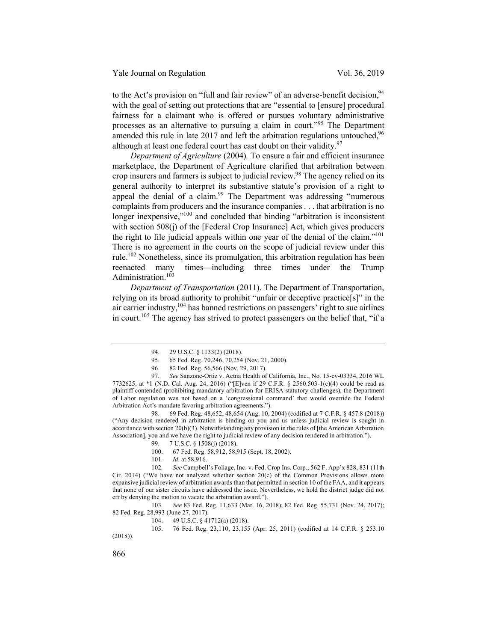to the Act's provision on "full and fair review" of an adverse-benefit decision,  $94$ with the goal of setting out protections that are "essential to [ensure] procedural fairness for a claimant who is offered or pursues voluntary administrative processes as an alternative to pursuing a claim in court."<sup>95</sup> The Department amended this rule in late 2017 and left the arbitration regulations untouched.<sup>96</sup> although at least one federal court has cast doubt on their validity.  $97$ 

*Department of Agriculture* (2004)*.* To ensure a fair and efficient insurance marketplace, the Department of Agriculture clarified that arbitration between crop insurers and farmers is subject to judicial review. <sup>98</sup> The agency relied on its general authority to interpret its substantive statute's provision of a right to appeal the denial of a claim.<sup>99</sup> The Department was addressing "numerous complaints from producers and the insurance companies . . . that arbitration is no longer inexpensive,"<sup>100</sup> and concluded that binding "arbitration is inconsistent with section 508(j) of the [Federal Crop Insurance] Act, which gives producers the right to file judicial appeals within one year of the denial of the claim."101 There is no agreement in the courts on the scope of judicial review under this rule.<sup>102</sup> Nonetheless, since its promulgation, this arbitration regulation has been reenacted many times—including three times under the Trump Administration.<sup>103</sup>

*Department of Transportation* (2011). The Department of Transportation, relying on its broad authority to prohibit "unfair or deceptive practice[s]" in the air carrier industry,<sup>104</sup> has banned restrictions on passengers' right to sue airlines in court.<sup>105</sup> The agency has strived to protect passengers on the belief that, "if a

98. 69 Fed. Reg. 48,652, 48,654 (Aug. 10, 2004) (codified at 7 C.F.R. § 457.8 (2018)) ("Any decision rendered in arbitration is binding on you and us unless judicial review is sought in accordance with section 20(b)(3). Notwithstanding any provision in the rules of [the American Arbitration Association], you and we have the right to judicial review of any decision rendered in arbitration.").

101*. Id.* at 58,916.

102*. See* Campbell's Foliage, Inc. v. Fed. Crop Ins. Corp., 562 F. App'x 828, 831 (11th Cir. 2014) ("We have not analyzed whether section  $20(c)$  of the Common Provisions allows more expansive judicial review of arbitration awards than that permitted in section 10 of the FAA, and it appears that none of our sister circuits have addressed the issue. Nevertheless, we hold the district judge did not err by denying the motion to vacate the arbitration award.").

103*. See* 83 Fed. Reg. 11,633 (Mar. 16, 2018); 82 Fed. Reg. 55,731 (Nov. 24, 2017); 82 Fed. Reg. 28,993 (June 27, 2017).

104. 49 U.S.C. § 41712(a) (2018).

105. 76 Fed. Reg. 23,110, 23,155 (Apr. 25, 2011) (codified at 14 C.F.R. § 253.10 (2018)).

866

<sup>94. 29</sup> U.S.C. § 1133(2) (2018).

<sup>95. 65</sup> Fed. Reg. 70,246, 70,254 (Nov. 21, 2000).

<sup>96. 82</sup> Fed. Reg. 56,566 (Nov. 29, 2017).

<sup>97</sup>*. See* Sanzone-Ortiz v. Aetna Health of California, Inc., No. 15-cv-03334, 2016 WL 7732625, at \*1 (N.D. Cal. Aug. 24, 2016) ("[E]ven if 29 C.F.R. § 2560.503-1(c)(4) could be read as plaintiff contended (prohibiting mandatory arbitration for ERISA statutory challenges), the Department of Labor regulation was not based on a 'congressional command' that would override the Federal Arbitration Act's mandate favoring arbitration agreements.").

<sup>99. 7</sup> U.S.C. § 1508(j) (2018).

<sup>100. 67</sup> Fed. Reg. 58,912, 58,915 (Sept. 18, 2002).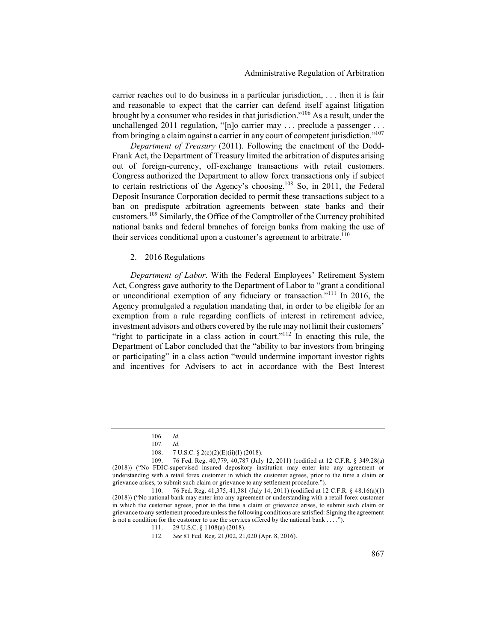carrier reaches out to do business in a particular jurisdiction, . . . then it is fair and reasonable to expect that the carrier can defend itself against litigation brought by a consumer who resides in that jurisdiction."106 As a result, under the unchallenged 2011 regulation, "[n]o carrier may . . . preclude a passenger . . . from bringing a claim against a carrier in any court of competent jurisdiction."107

*Department of Treasury* (2011). Following the enactment of the Dodd-Frank Act, the Department of Treasury limited the arbitration of disputes arising out of foreign-currency, off-exchange transactions with retail customers. Congress authorized the Department to allow forex transactions only if subject to certain restrictions of the Agency's choosing.108 So, in 2011, the Federal Deposit Insurance Corporation decided to permit these transactions subject to a ban on predispute arbitration agreements between state banks and their customers.109 Similarly, the Office of the Comptroller of the Currency prohibited national banks and federal branches of foreign banks from making the use of their services conditional upon a customer's agreement to arbitrate.<sup>110</sup>

#### 2. 2016 Regulations

*Department of Labor*. With the Federal Employees' Retirement System Act, Congress gave authority to the Department of Labor to "grant a conditional or unconditional exemption of any fiduciary or transaction."111 In 2016, the Agency promulgated a regulation mandating that, in order to be eligible for an exemption from a rule regarding conflicts of interest in retirement advice, investment advisors and others covered by the rule may not limit their customers' "right to participate in a class action in court."<sup>112</sup> In enacting this rule, the Department of Labor concluded that the "ability to bar investors from bringing or participating" in a class action "would undermine important investor rights and incentives for Advisers to act in accordance with the Best Interest

<sup>106</sup>*. Id.*

<sup>107</sup>*. Id.*

<sup>108. 7</sup> U.S.C. § 2(c)(2)(E)(ii)(I) (2018).

<sup>109. 76</sup> Fed. Reg. 40,779, 40,787 (July 12, 2011) (codified at 12 C.F.R. § 349.28(a) (2018)) ("No FDIC-supervised insured depository institution may enter into any agreement or understanding with a retail forex customer in which the customer agrees, prior to the time a claim or grievance arises, to submit such claim or grievance to any settlement procedure.").

<sup>110. 76</sup> Fed. Reg. 41,375, 41,381 (July 14, 2011) (codified at 12 C.F.R. § 48.16(a)(1) (2018)) ("No national bank may enter into any agreement or understanding with a retail forex customer in which the customer agrees, prior to the time a claim or grievance arises, to submit such claim or grievance to any settlement procedure unless the following conditions are satisfied: Signing the agreement is not a condition for the customer to use the services offered by the national bank . . . .").

<sup>111. 29</sup> U.S.C. § 1108(a) (2018).

<sup>112</sup>*. See* 81 Fed. Reg. 21,002, 21,020 (Apr. 8, 2016).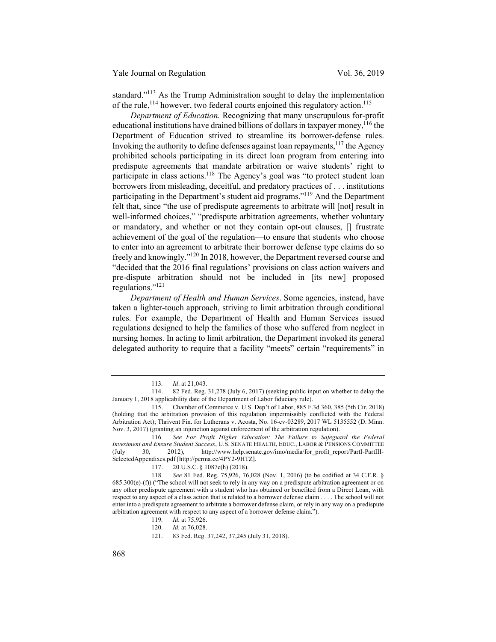standard.<sup>"113</sup> As the Trump Administration sought to delay the implementation of the rule,  $^{114}$  however, two federal courts enjoined this regulatory action.<sup>115</sup>

*Department of Education.* Recognizing that many unscrupulous for-profit educational institutions have drained billions of dollars in taxpayer money,<sup>116</sup> the Department of Education strived to streamline its borrower-defense rules. Invoking the authority to define defenses against loan repayments, $117$  the Agency prohibited schools participating in its direct loan program from entering into predispute agreements that mandate arbitration or waive students' right to participate in class actions.<sup>118</sup> The Agency's goal was "to protect student loan borrowers from misleading, deceitful, and predatory practices of . . . institutions participating in the Department's student aid programs."<sup>119</sup> And the Department felt that, since "the use of predispute agreements to arbitrate will [not] result in well-informed choices," "predispute arbitration agreements, whether voluntary or mandatory, and whether or not they contain opt-out clauses, [] frustrate achievement of the goal of the regulation—to ensure that students who choose to enter into an agreement to arbitrate their borrower defense type claims do so freely and knowingly."120 In 2018, however, the Department reversed course and "decided that the 2016 final regulations' provisions on class action waivers and pre-dispute arbitration should not be included in [its new] proposed regulations."121

*Department of Health and Human Services*. Some agencies, instead, have taken a lighter-touch approach, striving to limit arbitration through conditional rules. For example, the Department of Health and Human Services issued regulations designed to help the families of those who suffered from neglect in nursing homes. In acting to limit arbitration, the Department invoked its general delegated authority to require that a facility "meets" certain "requirements" in

116*. See For Profit Higher Education: The Failure to Safeguard the Federal Investment and Ensure Student Success*, U.S. SENATE HEALTH, EDUC., LABOR & PENSIONS COMMITTEE (July 30, 2012), http://www.help.senate.gov/imo/media/for\_profit\_report/PartI-PartIII-SelectedAppendixes.pdf [http://perma.cc/4PY2-9HTZ].

<sup>113</sup>*. Id*. at 21,043.

<sup>114. 82</sup> Fed. Reg. 31,278 (July 6, 2017) (seeking public input on whether to delay the January 1, 2018 applicability date of the Department of Labor fiduciary rule).

<sup>115.</sup> Chamber of Commerce v. U.S. Dep't of Labor, 885 F.3d 360, 385 (5th Cir. 2018) (holding that the arbitration provision of this regulation impermissibly conflicted with the Federal Arbitration Act); Thrivent Fin. for Lutherans v. Acosta, No. 16-cv-03289, 2017 WL 5135552 (D. Minn. Nov. 3, 2017) (granting an injunction against enforcement of the arbitration regulation).

<sup>117. 20</sup> U.S.C. § 1087e(h) (2018).

<sup>118</sup>*. See* 81 Fed. Reg. 75,926, 76,028 (Nov. 1, 2016) (to be codified at 34 C.F.R. § 685.300(e)-(f)) ("The school will not seek to rely in any way on a predispute arbitration agreement or on any other predispute agreement with a student who has obtained or benefited from a Direct Loan, with respect to any aspect of a class action that is related to a borrower defense claim . . . . The school will not enter into a predispute agreement to arbitrate a borrower defense claim, or rely in any way on a predispute arbitration agreement with respect to any aspect of a borrower defense claim.").

<sup>119</sup>*. Id.* at 75,926.

<sup>120</sup>*. Id.* at 76,028.

<sup>121. 83</sup> Fed. Reg. 37,242, 37,245 (July 31, 2018).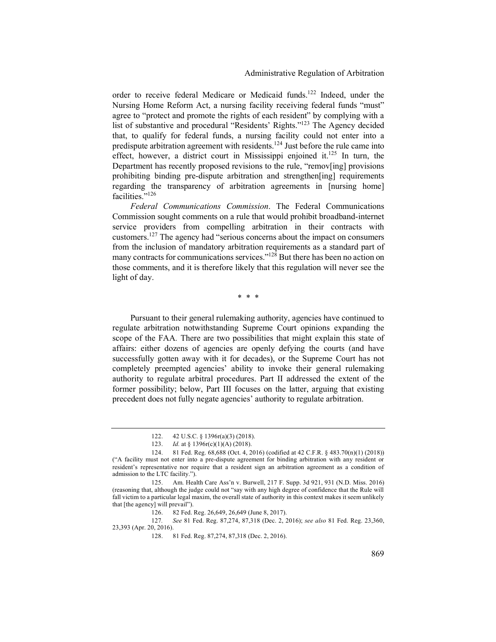order to receive federal Medicare or Medicaid funds.<sup>122</sup> Indeed, under the Nursing Home Reform Act, a nursing facility receiving federal funds "must" agree to "protect and promote the rights of each resident" by complying with a list of substantive and procedural "Residents' Rights."123 The Agency decided that, to qualify for federal funds, a nursing facility could not enter into a predispute arbitration agreement with residents.124 Just before the rule came into effect, however, a district court in Mississippi enjoined it.<sup>125</sup> In turn, the Department has recently proposed revisions to the rule, "remov[ing] provisions prohibiting binding pre-dispute arbitration and strengthen[ing] requirements regarding the transparency of arbitration agreements in [nursing home] facilities."<sup>126</sup>

*Federal Communications Commission*. The Federal Communications Commission sought comments on a rule that would prohibit broadband-internet service providers from compelling arbitration in their contracts with customers. <sup>127</sup> The agency had "serious concerns about the impact on consumers from the inclusion of mandatory arbitration requirements as a standard part of many contracts for communications services."<sup>128</sup> But there has been no action on those comments, and it is therefore likely that this regulation will never see the light of day.

\* \* \*

Pursuant to their general rulemaking authority, agencies have continued to regulate arbitration notwithstanding Supreme Court opinions expanding the scope of the FAA*.* There are two possibilities that might explain this state of affairs: either dozens of agencies are openly defying the courts (and have successfully gotten away with it for decades), or the Supreme Court has not completely preempted agencies' ability to invoke their general rulemaking authority to regulate arbitral procedures. Part II addressed the extent of the former possibility; below, Part III focuses on the latter, arguing that existing precedent does not fully negate agencies' authority to regulate arbitration.

127*. See* 81 Fed. Reg. 87,274, 87,318 (Dec. 2, 2016); *see also* 81 Fed. Reg. 23,360, 23,393 (Apr. 20, 2016).

<sup>122. 42</sup> U.S.C. § 1396r(a)(3) (2018).

<sup>123.</sup> *Id.* at § 1396r(c)(1)(A) (2018).

<sup>124. 81</sup> Fed. Reg. 68,688 (Oct. 4, 2016) (codified at 42 C.F.R. § 483.70(n)(1) (2018)) ("A facility must not enter into a pre-dispute agreement for binding arbitration with any resident or resident's representative nor require that a resident sign an arbitration agreement as a condition of admission to the LTC facility.").

<sup>125.</sup> Am. Health Care Ass'n v. Burwell, 217 F. Supp. 3d 921, 931 (N.D. Miss. 2016) (reasoning that, although the judge could not "say with any high degree of confidence that the Rule will fall victim to a particular legal maxim, the overall state of authority in this context makes it seem unlikely that [the agency] will prevail").

<sup>126. 82</sup> Fed. Reg. 26,649, 26,649 (June 8, 2017).

<sup>128. 81</sup> Fed. Reg. 87,274, 87,318 (Dec. 2, 2016).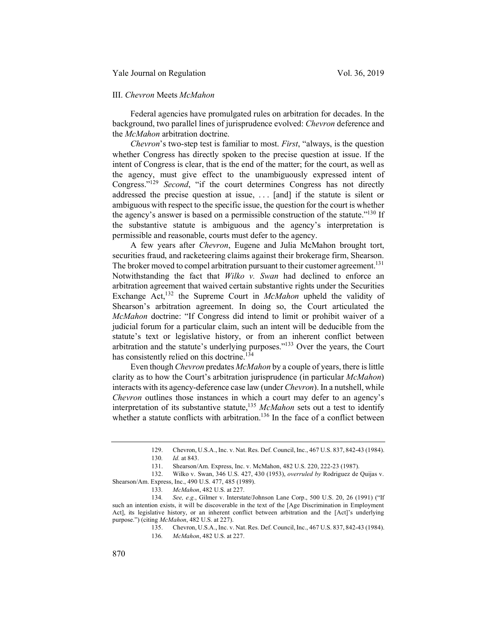#### III. *Chevron* Meets *McMahon*

Federal agencies have promulgated rules on arbitration for decades. In the background, two parallel lines of jurisprudence evolved: *Chevron* deference and the *McMahon* arbitration doctrine.

*Chevron*'s two-step test is familiar to most. *First*, "always, is the question whether Congress has directly spoken to the precise question at issue. If the intent of Congress is clear, that is the end of the matter; for the court, as well as the agency, must give effect to the unambiguously expressed intent of Congress."129 *Second*, "if the court determines Congress has not directly addressed the precise question at issue, . . . [and] if the statute is silent or ambiguous with respect to the specific issue, the question for the court is whether the agency's answer is based on a permissible construction of the statute."130 If the substantive statute is ambiguous and the agency's interpretation is permissible and reasonable, courts must defer to the agency.

A few years after *Chevron*, Eugene and Julia McMahon brought tort, securities fraud, and racketeering claims against their brokerage firm, Shearson. The broker moved to compel arbitration pursuant to their customer agreement.<sup>131</sup> Notwithstanding the fact that *Wilko v. Swan* had declined to enforce an arbitration agreement that waived certain substantive rights under the Securities Exchange Act,<sup>132</sup> the Supreme Court in *McMahon* upheld the validity of Shearson's arbitration agreement. In doing so, the Court articulated the *McMahon* doctrine: "If Congress did intend to limit or prohibit waiver of a judicial forum for a particular claim, such an intent will be deducible from the statute's text or legislative history, or from an inherent conflict between arbitration and the statute's underlying purposes."133 Over the years, the Court has consistently relied on this doctrine.<sup>134</sup>

Even though *Chevron* predates *McMahon* by a couple of years, there is little clarity as to how the Court's arbitration jurisprudence (in particular *McMahon*) interacts with its agency-deference case law (under *Chevron*). In a nutshell, while *Chevron* outlines those instances in which a court may defer to an agency's interpretation of its substantive statute,<sup>135</sup> *McMahon* sets out a test to identify whether a statute conflicts with arbitration.<sup>136</sup> In the face of a conflict between

<sup>129.</sup> Chevron, U.S.A., Inc. v. Nat. Res. Def. Council, Inc., 467 U.S. 837, 842-43 (1984).

<sup>130</sup>*. Id.* at 843.

<sup>131.</sup> Shearson/Am. Express, Inc. v. McMahon, 482 U.S. 220, 222-23 (1987).

<sup>132.</sup> Wilko v. Swan, 346 U.S. 427, 430 (1953), *overruled by* Rodriguez de Quijas v. Shearson/Am. Express, Inc., 490 U.S. 477, 485 (1989).

<sup>133</sup>*. McMahon*, 482 U.S. at 227.

<sup>134</sup>*. See, e.g.*, Gilmer v. Interstate/Johnson Lane Corp., 500 U.S. 20, 26 (1991) ("If such an intention exists, it will be discoverable in the text of the [Age Discrimination in Employment Act], its legislative history, or an inherent conflict between arbitration and the [Act]'s underlying purpose.") (citing *McMahon*, 482 U.S. at 227).

<sup>135.</sup> Chevron, U.S.A., Inc. v. Nat. Res. Def. Council, Inc., 467 U.S. 837, 842-43 (1984). 136*. McMahon*, 482 U.S. at 227.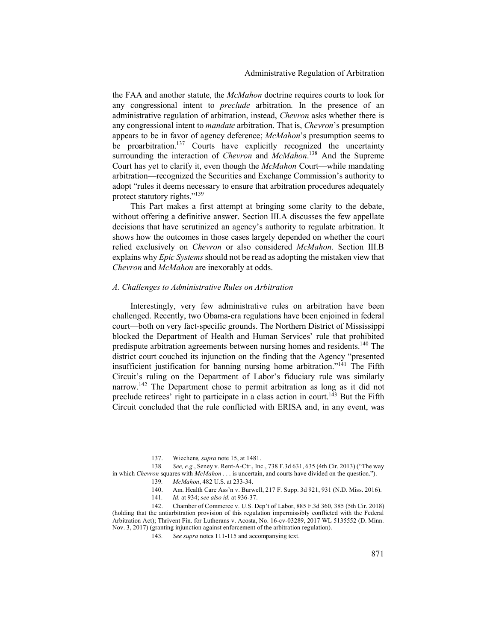the FAA and another statute, the *McMahon* doctrine requires courts to look for any congressional intent to *preclude* arbitration*.* In the presence of an administrative regulation of arbitration, instead, *Chevron* asks whether there is any congressional intent to *mandate* arbitration. That is, *Chevron*'s presumption appears to be in favor of agency deference; *McMahon*'s presumption seems to be proarbitration.<sup>137</sup> Courts have explicitly recognized the uncertainty surrounding the interaction of *Chevron* and *McMahon*. <sup>138</sup> And the Supreme Court has yet to clarify it, even though the *McMahon* Court—while mandating arbitration—recognized the Securities and Exchange Commission's authority to adopt "rules it deems necessary to ensure that arbitration procedures adequately protect statutory rights."<sup>139</sup>

This Part makes a first attempt at bringing some clarity to the debate, without offering a definitive answer. Section III.A discusses the few appellate decisions that have scrutinized an agency's authority to regulate arbitration. It shows how the outcomes in those cases largely depended on whether the court relied exclusively on *Chevron* or also considered *McMahon*. Section III.B explains why *Epic Systems* should not be read as adopting the mistaken view that *Chevron* and *McMahon* are inexorably at odds.

#### *A. Challenges to Administrative Rules on Arbitration*

Interestingly, very few administrative rules on arbitration have been challenged. Recently, two Obama-era regulations have been enjoined in federal court—both on very fact-specific grounds. The Northern District of Mississippi blocked the Department of Health and Human Services' rule that prohibited predispute arbitration agreements between nursing homes and residents.<sup>140</sup> The district court couched its injunction on the finding that the Agency "presented insufficient justification for banning nursing home arbitration."141 The Fifth Circuit's ruling on the Department of Labor's fiduciary rule was similarly narrow.<sup>142</sup> The Department chose to permit arbitration as long as it did not preclude retirees' right to participate in a class action in court.<sup>143</sup> But the Fifth Circuit concluded that the rule conflicted with ERISA and, in any event, was

<sup>137.</sup> Wiechens*, supra* note 15, at 1481.

<sup>138</sup>*. See, e.g.*, Seney v. Rent-A-Ctr., Inc., 738 F.3d 631, 635 (4th Cir. 2013) ("The way in which *Chevron* squares with *McMahon* . . . is uncertain, and courts have divided on the question.").

<sup>139</sup>*. McMahon*, 482 U.S. at 233-34.

<sup>140.</sup> Am. Health Care Ass'n v. Burwell, 217 F. Supp. 3d 921, 931 (N.D. Miss. 2016).

<sup>141</sup>*. Id.* at 934; *see also id.* at 936-37.

<sup>142.</sup> Chamber of Commerce v. U.S. Dep't of Labor, 885 F.3d 360, 385 (5th Cir. 2018) (holding that the antiarbitration provision of this regulation impermissibly conflicted with the Federal Arbitration Act); Thrivent Fin. for Lutherans v. Acosta, No. 16-cv-03289, 2017 WL 5135552 (D. Minn. Nov. 3, 2017) (granting injunction against enforcement of the arbitration regulation).

<sup>143</sup>*. See supra* notes 111-115 and accompanying text.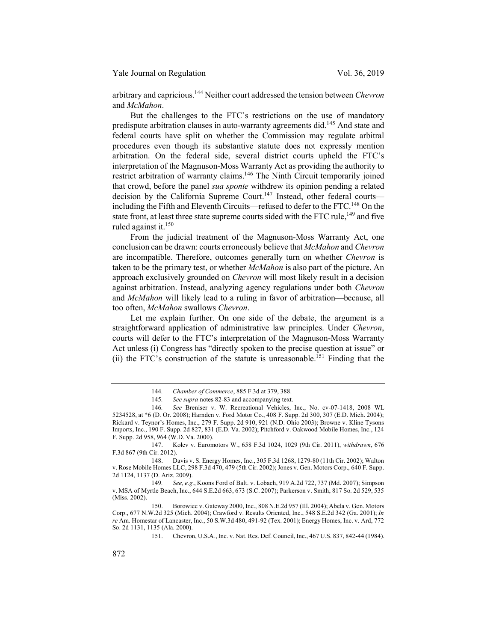Yale Journal on Regulation Vol. 36, 2019

arbitrary and capricious.144 Neither court addressed the tension between *Chevron*  and *McMahon*.

But the challenges to the FTC's restrictions on the use of mandatory predispute arbitration clauses in auto-warranty agreements did.<sup>145</sup> And state and federal courts have split on whether the Commission may regulate arbitral procedures even though its substantive statute does not expressly mention arbitration. On the federal side, several district courts upheld the FTC's interpretation of the Magnuson-Moss Warranty Act as providing the authority to restrict arbitration of warranty claims.146 The Ninth Circuit temporarily joined that crowd, before the panel *sua sponte* withdrew its opinion pending a related decision by the California Supreme Court.<sup>147</sup> Instead, other federal courts including the Fifth and Eleventh Circuits—refused to defer to the FTC.<sup>148</sup> On the state front, at least three state supreme courts sided with the FTC rule,  $^{149}$  and five ruled against it. $150$ 

From the judicial treatment of the Magnuson-Moss Warranty Act, one conclusion can be drawn: courts erroneously believe that *McMahon* and *Chevron*  are incompatible. Therefore, outcomes generally turn on whether *Chevron* is taken to be the primary test, or whether *McMahon* is also part of the picture. An approach exclusively grounded on *Chevron* will most likely result in a decision against arbitration. Instead, analyzing agency regulations under both *Chevron*  and *McMahon* will likely lead to a ruling in favor of arbitration—because, all too often, *McMahon* swallows *Chevron*.

Let me explain further. On one side of the debate, the argument is a straightforward application of administrative law principles. Under *Chevron*, courts will defer to the FTC's interpretation of the Magnuson-Moss Warranty Act unless (i) Congress has "directly spoken to the precise question at issue" or (ii) the FTC's construction of the statute is unreasonable.<sup>151</sup> Finding that the

148. Davis v. S. Energy Homes, Inc., 305 F.3d 1268, 1279-80 (11th Cir. 2002); Walton v. Rose Mobile Homes LLC, 298 F.3d 470, 479 (5th Cir. 2002); Jones v. Gen. Motors Corp., 640 F. Supp. 2d 1124, 1137 (D. Ariz. 2009).

<sup>144</sup>*. Chamber of Commerce*, 885 F.3d at 379, 388.

<sup>145</sup>*. See supra* notes 82-83 and accompanying text.

<sup>146</sup>*. See* Breniser v. W. Recreational Vehicles, Inc., No. cv-07-1418, 2008 WL 5234528, at \*6 (D. Or. 2008); Harnden v. Ford Motor Co., 408 F. Supp. 2d 300, 307 (E.D. Mich. 2004); Rickard v. Teynor's Homes, Inc., 279 F. Supp. 2d 910, 921 (N.D. Ohio 2003); Browne v. Kline Tysons Imports, Inc., 190 F. Supp. 2d 827, 831 (E.D. Va. 2002); Pitchford v. Oakwood Mobile Homes, Inc., 124 F. Supp. 2d 958, 964 (W.D. Va. 2000).

<sup>147.</sup> Kolev v. Euromotors W., 658 F.3d 1024, 1029 (9th Cir. 2011), *withdrawn*, 676 F.3d 867 (9th Cir. 2012).

<sup>149</sup>*. See, e.g.*, Koons Ford of Balt. v. Lobach, 919 A.2d 722, 737 (Md. 2007); Simpson v. MSA of Myrtle Beach, Inc., 644 S.E.2d 663, 673 (S.C. 2007); Parkerson v. Smith, 817 So. 2d 529, 535 (Miss. 2002).

<sup>150.</sup> Borowiec v. Gateway 2000, Inc., 808 N.E.2d 957 (Ill. 2004); Abela v. Gen. Motors Corp., 677 N.W.2d 325 (Mich. 2004); Crawford v. Results Oriented, Inc., 548 S.E.2d 342 (Ga. 2001); *In re* Am. Homestar of Lancaster, Inc., 50 S.W.3d 480, 491-92 (Tex. 2001); Energy Homes, Inc. v. Ard, 772 So. 2d 1131, 1135 (Ala. 2000).

<sup>151.</sup> Chevron, U.S.A., Inc. v. Nat. Res. Def. Council, Inc., 467 U.S. 837, 842-44 (1984).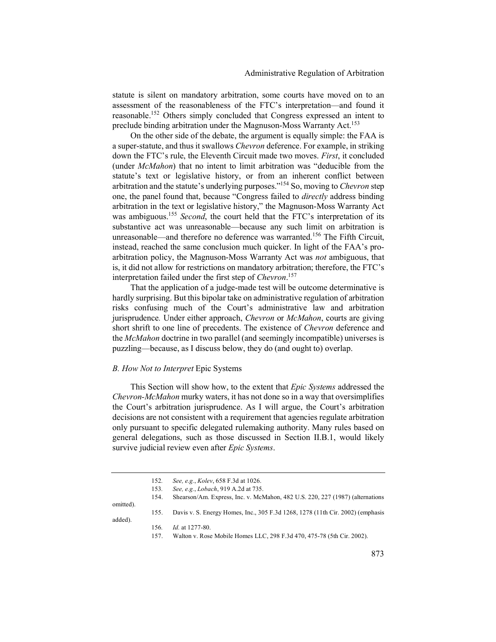statute is silent on mandatory arbitration, some courts have moved on to an assessment of the reasonableness of the FTC's interpretation—and found it reasonable.152 Others simply concluded that Congress expressed an intent to preclude binding arbitration under the Magnuson-Moss Warranty Act.<sup>153</sup>

On the other side of the debate, the argument is equally simple: the FAA is a super-statute, and thus it swallows *Chevron* deference. For example, in striking down the FTC's rule, the Eleventh Circuit made two moves. *First*, it concluded (under *McMahon*) that no intent to limit arbitration was "deducible from the statute's text or legislative history, or from an inherent conflict between arbitration and the statute's underlying purposes."154 So, moving to *Chevron* step one, the panel found that, because "Congress failed to *directly* address binding arbitration in the text or legislative history," the Magnuson-Moss Warranty Act was ambiguous.<sup>155</sup> *Second*, the court held that the FTC's interpretation of its substantive act was unreasonable—because any such limit on arbitration is unreasonable—and therefore no deference was warranted.<sup>156</sup> The Fifth Circuit, instead, reached the same conclusion much quicker. In light of the FAA's proarbitration policy, the Magnuson-Moss Warranty Act was *not* ambiguous, that is, it did not allow for restrictions on mandatory arbitration; therefore, the FTC's interpretation failed under the first step of *Chevron*. 157

That the application of a judge-made test will be outcome determinative is hardly surprising. But this bipolar take on administrative regulation of arbitration risks confusing much of the Court's administrative law and arbitration jurisprudence*.* Under either approach, *Chevron* or *McMahon*, courts are giving short shrift to one line of precedents. The existence of *Chevron* deference and the *McMahon* doctrine in two parallel (and seemingly incompatible) universes is puzzling—because, as I discuss below, they do (and ought to) overlap.

#### *B. How Not to Interpret* Epic Systems

This Section will show how, to the extent that *Epic Systems* addressed the *Chevron-McMahon* murky waters, it has not done so in a way that oversimplifies the Court's arbitration jurisprudence. As I will argue, the Court's arbitration decisions are not consistent with a requirement that agencies regulate arbitration only pursuant to specific delegated rulemaking authority. Many rules based on general delegations, such as those discussed in Section II.B.1, would likely survive judicial review even after *Epic Systems*.

|           | 152. | See, e.g., Kolev, 658 F.3d at 1026.                                            |
|-----------|------|--------------------------------------------------------------------------------|
|           | 153. | See, e.g., Lobach, 919 A.2d at 735.                                            |
|           | 154. | Shearson/Am. Express, Inc. v. McMahon, 482 U.S. 220, 227 (1987) (alternations  |
| omitted). |      |                                                                                |
|           | 155. | Davis v. S. Energy Homes, Inc., 305 F.3d 1268, 1278 (11th Cir. 2002) (emphasis |
| added).   |      |                                                                                |
|           | 156. | <i>Id.</i> at 1277-80.                                                         |
|           | 157. | Walton v. Rose Mobile Homes LLC, 298 F.3d 470, 475-78 (5th Cir. 2002).         |
|           |      |                                                                                |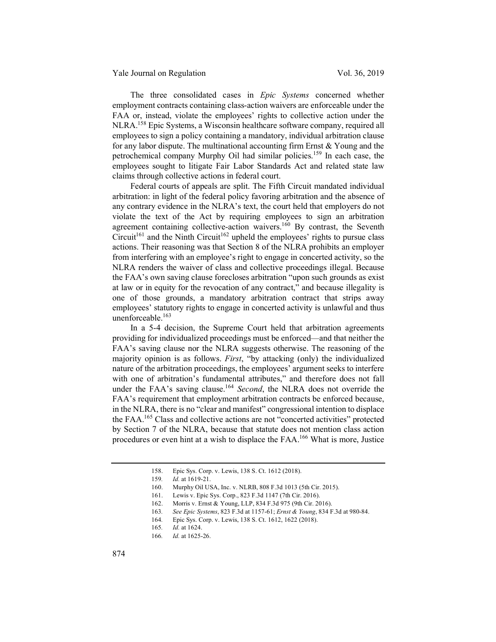The three consolidated cases in *Epic Systems* concerned whether employment contracts containing class-action waivers are enforceable under the FAA or, instead, violate the employees' rights to collective action under the NLRA.158 Epic Systems, a Wisconsin healthcare software company, required all employees to sign a policy containing a mandatory, individual arbitration clause for any labor dispute. The multinational accounting firm Ernst  $& Young$  and the petrochemical company Murphy Oil had similar policies.<sup>159</sup> In each case, the employees sought to litigate Fair Labor Standards Act and related state law claims through collective actions in federal court.

Federal courts of appeals are split. The Fifth Circuit mandated individual arbitration: in light of the federal policy favoring arbitration and the absence of any contrary evidence in the NLRA's text, the court held that employers do not violate the text of the Act by requiring employees to sign an arbitration agreement containing collective-action waivers.<sup>160</sup> By contrast, the Seventh  $Circuit^{161}$  and the Ninth Circuit<sup>162</sup> upheld the employees' rights to pursue class actions. Their reasoning was that Section 8 of the NLRA prohibits an employer from interfering with an employee's right to engage in concerted activity, so the NLRA renders the waiver of class and collective proceedings illegal. Because the FAA's own saving clause forecloses arbitration "upon such grounds as exist at law or in equity for the revocation of any contract," and because illegality is one of those grounds, a mandatory arbitration contract that strips away employees' statutory rights to engage in concerted activity is unlawful and thus unenforceable.163

In a 5-4 decision, the Supreme Court held that arbitration agreements providing for individualized proceedings must be enforced—and that neither the FAA's saving clause nor the NLRA suggests otherwise. The reasoning of the majority opinion is as follows. *First*, "by attacking (only) the individualized nature of the arbitration proceedings, the employees' argument seeks to interfere with one of arbitration's fundamental attributes," and therefore does not fall under the FAA's saving clause.<sup>164</sup> *Second*, the NLRA does not override the FAA's requirement that employment arbitration contracts be enforced because, in the NLRA, there is no "clear and manifest" congressional intention to displace the FAA.165 Class and collective actions are not "concerted activities" protected by Section 7 of the NLRA, because that statute does not mention class action procedures or even hint at a wish to displace the FAA.166 What is more, Justice

<sup>158.</sup> Epic Sys. Corp. v. Lewis, 138 S. Ct. 1612 (2018).

<sup>159</sup>*. Id.* at 1619-21.

<sup>160.</sup> Murphy Oil USA, Inc. v. NLRB, 808 F.3d 1013 (5th Cir. 2015).

<sup>161.</sup> Lewis v. Epic Sys. Corp., 823 F.3d 1147 (7th Cir. 2016).

<sup>162.</sup> Morris v. Ernst & Young, LLP, 834 F.3d 975 (9th Cir. 2016).

<sup>163</sup>*. See Epic Systems*, 823 F.3d at 1157-61; *Ernst & Young*, 834 F.3d at 980-84.

<sup>164</sup>*.* Epic Sys. Corp. v. Lewis, 138 S. Ct. 1612, 1622 (2018).

<sup>165</sup>*. Id.* at 1624.

<sup>166</sup>*. Id.* at 1625-26.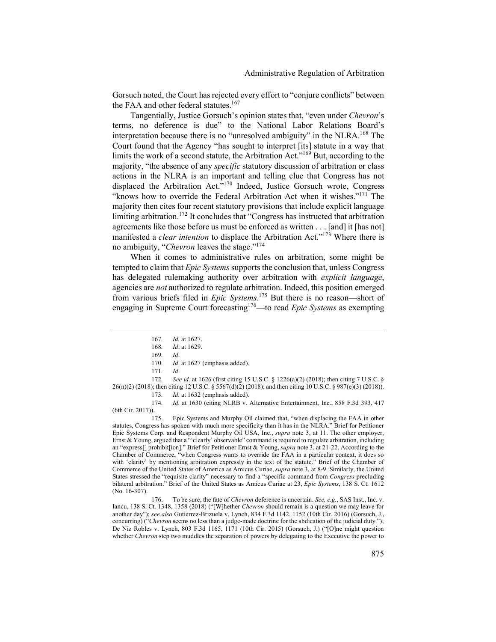Gorsuch noted, the Court has rejected every effort to "conjure conflicts" between the FAA and other federal statutes.<sup>167</sup>

Tangentially, Justice Gorsuch's opinion states that, "even under *Chevron*'s terms, no deference is due" to the National Labor Relations Board's interpretation because there is no "unresolved ambiguity" in the NLRA.<sup>168</sup> The Court found that the Agency "has sought to interpret [its] statute in a way that limits the work of a second statute, the Arbitration Act.<sup> $169$ </sup> But, according to the majority, "the absence of any *specific* statutory discussion of arbitration or class actions in the NLRA is an important and telling clue that Congress has not displaced the Arbitration Act."<sup>170</sup> Indeed, Justice Gorsuch wrote, Congress "knows how to override the Federal Arbitration Act when it wishes."<sup>171</sup> The majority then cites four recent statutory provisions that include explicit language limiting arbitration.<sup>172</sup> It concludes that "Congress has instructed that arbitration agreements like those before us must be enforced as written . . . [and] it [has not] manifested a *clear intention* to displace the Arbitration Act."<sup>173</sup> Where there is no ambiguity, "*Chevron* leaves the stage."174

When it comes to administrative rules on arbitration, some might be tempted to claim that *Epic Systems* supports the conclusion that, unless Congress has delegated rulemaking authority over arbitration with *explicit language*, agencies are *not* authorized to regulate arbitration. Indeed, this position emerged from various briefs filed in *Epic Systems*. <sup>175</sup> But there is no reason—short of engaging in Supreme Court forecasting176—to read *Epic Systems* as exempting

172*. See id.* at 1626 (first citing 15 U.S.C. § 1226(a)(2) (2018); then citing 7 U.S.C. § 26(n)(2) (2018); then citing 12 U.S.C. § 5567(d)(2) (2018); and then citing 10 U.S.C. § 987(e)(3) (2018)). 173*. Id.* at 1632 (emphasis added).

174*. Id.* at 1630 (citing NLRB v. Alternative Entertainment, Inc., 858 F.3d 393, 417 (6th Cir. 2017)).

175. Epic Systems and Murphy Oil claimed that, "when displacing the FAA in other statutes, Congress has spoken with much more specificity than it has in the NLRA." Brief for Petitioner Epic Systems Corp. and Respondent Murphy Oil USA, Inc., *supra* note 3, at 11. The other employer, Ernst & Young, argued that a "'clearly' observable" command is required to regulate arbitration, including an "express[] prohibit[ion]." Brief for Petitioner Ernst & Young, *supra* note 3, at 21-22. According to the Chamber of Commerce, "when Congress wants to override the FAA in a particular context, it does so with 'clarity' by mentioning arbitration expressly in the text of the statute." Brief of the Chamber of Commerce of the United States of America as Amicus Curiae, *supra* note 3, at 8-9. Similarly, the United States stressed the "requisite clarity" necessary to find a "specific command from *Congress* precluding bilateral arbitration." Brief of the United States as Amicus Curiae at 23, *Epic Systems*, 138 S. Ct. 1612 (No. 16-307).

176. To be sure, the fate of *Chevron* deference is uncertain. *See, e.g.*, SAS Inst., Inc. v. Iancu, 138 S. Ct. 1348, 1358 (2018) ("[W]hether *Chevron* should remain is a question we may leave for another day"); *see also* Gutierrez-Brizuela v. Lynch, 834 F.3d 1142, 1152 (10th Cir. 2016) (Gorsuch, J., concurring) ("*Chevron* seems no less than a judge-made doctrine for the abdication of the judicial duty."); De Niz Robles v. Lynch, 803 F.3d 1165, 1171 (10th Cir. 2015) (Gorsuch, J.) ("[O]ne might question whether *Chevron* step two muddles the separation of powers by delegating to the Executive the power to

<sup>167</sup>*. Id.* at 1627.

<sup>168</sup>*. Id*. at 1629.

<sup>169</sup>*. Id*.

<sup>170</sup>*. Id*. at 1627 (emphasis added).

<sup>171</sup>*. Id*.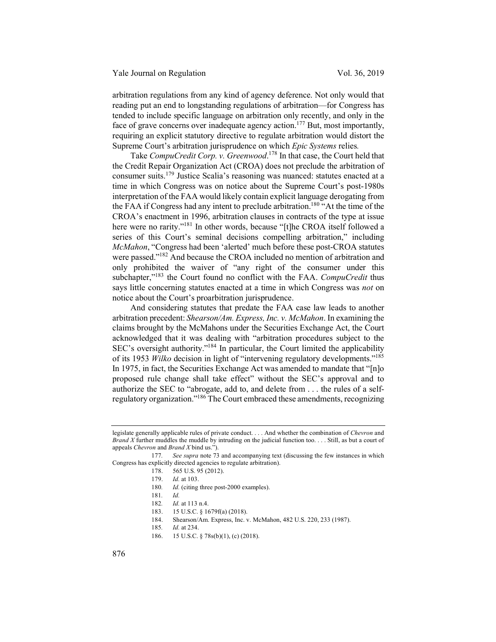arbitration regulations from any kind of agency deference. Not only would that reading put an end to longstanding regulations of arbitration—for Congress has tended to include specific language on arbitration only recently, and only in the face of grave concerns over inadequate agency action.<sup>177</sup> But, most importantly, requiring an explicit statutory directive to regulate arbitration would distort the Supreme Court's arbitration jurisprudence on which *Epic Systems* relies*.*

Take *CompuCredit Corp. v. Greenwood*. <sup>178</sup> In that case, the Court held that the Credit Repair Organization Act (CROA) does not preclude the arbitration of consumer suits.<sup>179</sup> Justice Scalia's reasoning was nuanced: statutes enacted at a time in which Congress was on notice about the Supreme Court's post-1980s interpretation of the FAA would likely contain explicit language derogating from the FAA if Congress had any intent to preclude arbitration.<sup>180</sup> "At the time of the CROA's enactment in 1996, arbitration clauses in contracts of the type at issue here were no rarity."<sup>181</sup> In other words, because "[t]he CROA itself followed a series of this Court's seminal decisions compelling arbitration," including *McMahon*, "Congress had been 'alerted' much before these post-CROA statutes were passed."182 And because the CROA included no mention of arbitration and only prohibited the waiver of "any right of the consumer under this subchapter,"<sup>183</sup> the Court found no conflict with the FAA. *CompuCredit* thus says little concerning statutes enacted at a time in which Congress was *not* on notice about the Court's proarbitration jurisprudence.

And considering statutes that predate the FAA case law leads to another arbitration precedent: *Shearson/Am. Express, Inc. v. McMahon*. In examining the claims brought by the McMahons under the Securities Exchange Act, the Court acknowledged that it was dealing with "arbitration procedures subject to the SEC's oversight authority."184 In particular, the Court limited the applicability of its 1953 *Wilko* decision in light of "intervening regulatory developments."185 In 1975, in fact, the Securities Exchange Act was amended to mandate that "[n]o proposed rule change shall take effect" without the SEC's approval and to authorize the SEC to "abrogate, add to, and delete from . . . the rules of a selfregulatory organization."186 The Court embraced these amendments, recognizing

186. 15 U.S.C. § 78s(b)(1), (c) (2018).

legislate generally applicable rules of private conduct. . . . And whether the combination of *Chevron* and *Brand X* further muddles the muddle by intruding on the judicial function too. . . . Still, as but a court of appeals *Chevron* and *Brand X* bind us.").

<sup>177</sup>*. See supra* note 73 and accompanying text (discussing the few instances in which Congress has explicitly directed agencies to regulate arbitration).

<sup>178. 565</sup> U.S. 95 (2012).

<sup>179.</sup> *Id.* at 103.

<sup>180</sup>*. Id.* (citing three post-2000 examples).

<sup>181</sup>*. Id.*

<sup>182</sup>*. Id.* at 113 n.4.

<sup>183. 15</sup> U.S.C. § 1679f(a) (2018).

<sup>184.</sup> Shearson/Am. Express, Inc. v. McMahon, 482 U.S. 220, 233 (1987).

<sup>185</sup>*. Id.* at 234.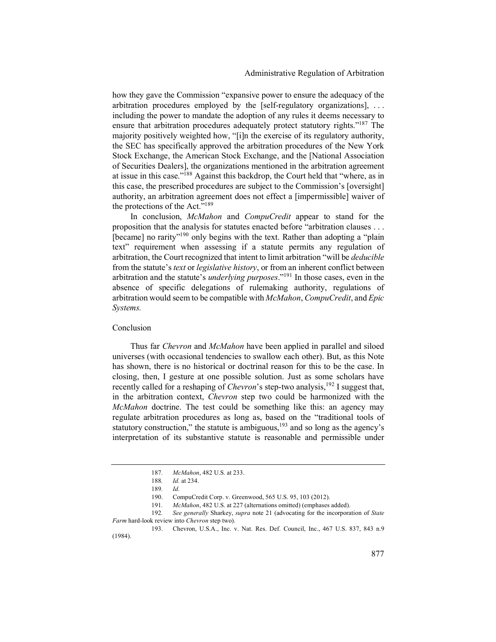how they gave the Commission "expansive power to ensure the adequacy of the arbitration procedures employed by the [self-regulatory organizations], . . . including the power to mandate the adoption of any rules it deems necessary to ensure that arbitration procedures adequately protect statutory rights."<sup>187</sup> The majority positively weighted how, "[i]n the exercise of its regulatory authority, the SEC has specifically approved the arbitration procedures of the New York Stock Exchange, the American Stock Exchange, and the [National Association of Securities Dealers], the organizations mentioned in the arbitration agreement at issue in this case."188 Against this backdrop, the Court held that "where, as in this case, the prescribed procedures are subject to the Commission's [oversight] authority, an arbitration agreement does not effect a [impermissible] waiver of the protections of the Act."<sup>189</sup>

In conclusion, *McMahon* and *CompuCredit* appear to stand for the proposition that the analysis for statutes enacted before "arbitration clauses . . . [became] no rarity"<sup>190</sup> only begins with the text. Rather than adopting a "plain" text" requirement when assessing if a statute permits any regulation of arbitration, the Court recognized that intent to limit arbitration "will be *deducible* from the statute's *text* or *legislative history*, or from an inherent conflict between arbitration and the statute's *underlying purposes*."191 In those cases, even in the absence of specific delegations of rulemaking authority, regulations of arbitration would seem to be compatible with *McMahon*, *CompuCredit*, and *Epic Systems.*

#### Conclusion

Thus far *Chevron* and *McMahon* have been applied in parallel and siloed universes (with occasional tendencies to swallow each other). But, as this Note has shown, there is no historical or doctrinal reason for this to be the case. In closing, then, I gesture at one possible solution. Just as some scholars have recently called for a reshaping of *Chevron*'s step-two analysis,<sup>192</sup> I suggest that, in the arbitration context, *Chevron* step two could be harmonized with the *McMahon* doctrine. The test could be something like this: an agency may regulate arbitration procedures as long as, based on the "traditional tools of statutory construction," the statute is ambiguous, $193$  and so long as the agency's interpretation of its substantive statute is reasonable and permissible under

<sup>187</sup>*. McMahon*, 482 U.S. at 233.

<sup>188</sup>*. Id.* at 234.

<sup>189</sup>*. Id.*

<sup>190.</sup> CompuCredit Corp. v. Greenwood, 565 U.S. 95, 103 (2012).

<sup>191</sup>*. McMahon*, 482 U.S. at 227 (alternations omitted) (emphases added).

<sup>192</sup>*. See generally* Sharkey, *supra* note 21 (advocating for the incorporation of *State Farm* hard-look review into *Chevron* step two).

<sup>193.</sup> Chevron, U.S.A., Inc. v. Nat. Res. Def. Council, Inc., 467 U.S. 837, 843 n.9 (1984).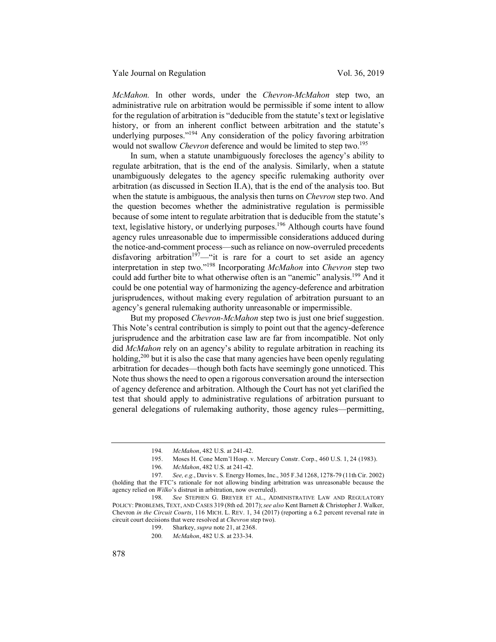*McMahon.* In other words, under the *Chevron-McMahon* step two, an administrative rule on arbitration would be permissible if some intent to allow for the regulation of arbitration is "deducible from the statute's text or legislative history, or from an inherent conflict between arbitration and the statute's underlying purposes."<sup>194</sup> Any consideration of the policy favoring arbitration would not swallow *Chevron* deference and would be limited to step two.<sup>195</sup>

In sum, when a statute unambiguously forecloses the agency's ability to regulate arbitration, that is the end of the analysis. Similarly, when a statute unambiguously delegates to the agency specific rulemaking authority over arbitration (as discussed in Section II.A), that is the end of the analysis too. But when the statute is ambiguous, the analysis then turns on *Chevron* step two. And the question becomes whether the administrative regulation is permissible because of some intent to regulate arbitration that is deducible from the statute's text, legislative history, or underlying purposes.<sup>196</sup> Although courts have found agency rules unreasonable due to impermissible considerations adduced during the notice-and-comment process—such as reliance on now-overruled precedents disfavoring arbitration<sup>197</sup>—"it is rare for a court to set aside an agency interpretation in step two."198 Incorporating *McMahon* into *Chevron* step two could add further bite to what otherwise often is an "anemic" analysis.<sup>199</sup> And it could be one potential way of harmonizing the agency-deference and arbitration jurisprudences, without making every regulation of arbitration pursuant to an agency's general rulemaking authority unreasonable or impermissible.

But my proposed *Chevron-McMahon* step two is just one brief suggestion. This Note's central contribution is simply to point out that the agency-deference jurisprudence and the arbitration case law are far from incompatible. Not only did *McMahon* rely on an agency's ability to regulate arbitration in reaching its holding,  $200$  but it is also the case that many agencies have been openly regulating arbitration for decades—though both facts have seemingly gone unnoticed. This Note thus shows the need to open a rigorous conversation around the intersection of agency deference and arbitration. Although the Court has not yet clarified the test that should apply to administrative regulations of arbitration pursuant to general delegations of rulemaking authority, those agency rules—permitting,

<sup>194</sup>*. McMahon*, 482 U.S. at 241-42.

Moses H. Cone Mem'l Hosp. v. Mercury Constr. Corp., 460 U.S. 1, 24 (1983).

<sup>196</sup>*. McMahon*, 482 U.S. at 241-42.

<sup>197</sup>*. See, e.g.*, Davis v. S. Energy Homes, Inc., 305 F.3d 1268, 1278-79 (11th Cir. 2002) (holding that the FTC's rationale for not allowing binding arbitration was unreasonable because the agency relied on *Wilko*'s distrust in arbitration, now overruled).

<sup>198</sup>*. See* STEPHEN G. BREYER ET AL., ADMINISTRATIVE LAW AND REGULATORY POLICY: PROBLEMS, TEXT, AND CASES 319 (8th ed. 2017);*see also* Kent Barnett & Christopher J. Walker, Chevron *in the Circuit Courts*, 116 MICH. L. REV. 1, 34 (2017) (reporting a 6.2 percent reversal rate in circuit court decisions that were resolved at *Chevron* step two).

<sup>199.</sup> Sharkey, *supra* note 21, at 2368.

<sup>200</sup>*. McMahon*, 482 U.S. at 233-34.